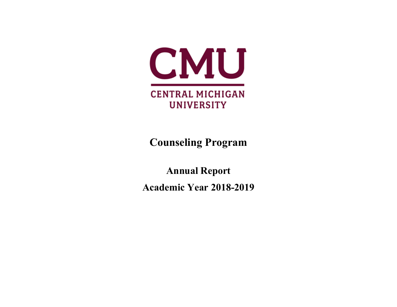

**Counseling Program**

**Annual Report Academic Year 2018-2019**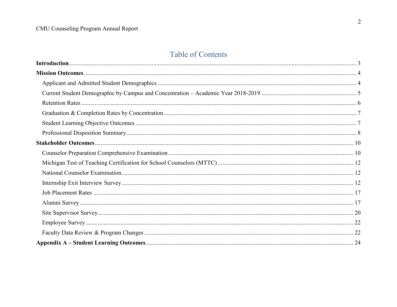# Table of Contents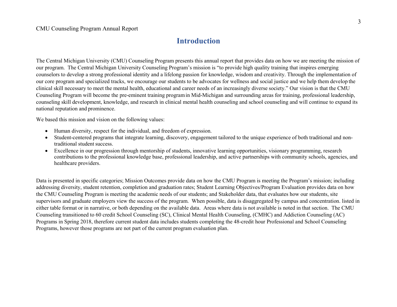## **Introduction**

<span id="page-2-0"></span>The Central Michigan University (CMU) Counseling Program presents this annual report that provides data on how we are meeting the mission of our program. The Central Michigan University Counseling Program's mission is "to provide high quality training that inspires emerging counselors to develop a strong professional identity and a lifelong passion for knowledge, wisdom and creativity. Through the implementation of our core program and specialized tracks, we encourage our students to be advocates for wellness and social justice and we help them develop the clinical skill necessary to meet the mental health, educational and career needs of an increasingly diverse society." Our vision is that the CMU Counseling Program will become the pre-eminent training programin Mid-Michigan and surrounding areas for training, professional leadership, counseling skill development, knowledge, and research in clinical mental health counseling and school counseling and will continue to expand its national reputation and prominence.

We based this mission and vision on the following values:

- Human diversity, respect for the individual, and freedom of expression.
- Student-centered programs that integrate learning, discovery, engagement tailored to the unique experience of both traditional and nontraditional student success.
- Excellence in our progression through mentorship of students, innovative learning opportunities, visionary programming, research contributions to the professional knowledge base, professional leadership, and active partnerships with community schools, agencies, and healthcare providers.

Data is presented in specific categories; Mission Outcomes provide data on how the CMU Program is meeting the Program's mission; including addressing diversity, student retention, completion and graduation rates; Student Learning Objectives/Program Evaluation provides data on how the CMU Counseling Program is meeting the academic needs of our students; and Stakeholder data, that evaluates how our students, site supervisors and graduate employers view the success of the program. When possible, data is disaggregated by campus and concentration. listed in either table format or in narrative, or both depending on the available data. Areas where data is not available is noted in that section. The CMU Counseling transitioned to 60 credit School Counseling (SC), Clinical Mental Health Counseling, (CMHC) and Addiction Counseling (AC) Programs in Spring 2018, therefore current student data includes students completing the 48-credit hour Professional and School Counseling Programs, however those programs are not part of the current program evaluation plan.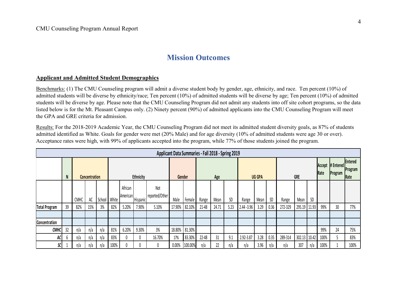## **Mission Outcomes**

## <span id="page-3-1"></span><span id="page-3-0"></span>**Applicant and Admitted Student Demographics**

Benchmarks: (1) The CMU Counseling program will admit a diverse student body by gender, age, ethnicity, and race. Ten percent (10%) of admitted students will be diverse by ethnicity/race; Ten percent (10%) of admitted students will be diverse by age; Ten percent (10%) of admitted students will be diverse by age. Please note that the CMU Counseling Program did not admit any students into off site cohort programs, so the data listed below is for the Mt. Pleasant Campus only. (2) Ninety percent (90%) of admitted applicants into the CMU Counseling Program will meet the GPA and GRE criteria for admission.

Results: For the 2018-2019 Academic Year, the CMU Counseling Program did not meet its admitted student diversity goals, as 87% of students admitted identified as White. Goals for gender were met (20% Male) and for age diversity (10% of admitted students were age 30 or over). Acceptance rates were high, with 99% of applicants accepted into the program, while 77% of those students joined the program.

|               | Applicant Data Summaries - Fall 2018 - Spring 2019 |             |                      |     |              |                     |          |                       |        |         |               |       |      |             |      |      |         |                             |                            |      |    |      |
|---------------|----------------------------------------------------|-------------|----------------------|-----|--------------|---------------------|----------|-----------------------|--------|---------|---------------|-------|------|-------------|------|------|---------|-----------------------------|----------------------------|------|----|------|
|               |                                                    |             | <b>Concentration</b> |     |              | Ethnicity           |          | Gender<br>Age         |        |         | <b>UG GPA</b> |       |      | <b>GRE</b>  |      |      | Rate    | Accept # Entered<br>Program | Fntered<br>Program<br>Rate |      |    |      |
|               |                                                    | <b>CMHC</b> | AC                   |     | School White | African<br>American | Hispanic | Not<br>reported/Other | Male   | Female  | Range         | Mean  | SD   | Range       | Mean | SD   | Range   | Mean                        | SD                         |      |    |      |
| Total Program | 39                                                 | 82%         | 15%                  | 3%  | 82%          | 5.20%               | 7.90%    | 5.10%                 | 17.90% | 82.10%  | 21-48         | 24.71 | 5.23 | 2.44 - 3.96 | 3.29 | 0.36 | 272-329 | 295.19                      | 11.93                      | 99%  | 30 | 77%  |
|               |                                                    |             |                      |     |              |                     |          |                       |        |         |               |       |      |             |      |      |         |                             |                            |      |    |      |
| Concentration |                                                    |             |                      |     |              |                     |          |                       |        |         |               |       |      |             |      |      |         |                             |                            |      |    |      |
| <b>CMHC</b>   | 32                                                 | n/a         | n/a                  | n/a | 81%          | 6.20%               | 9.30%    | 3%                    | 18.80% | 81.30%  |               |       |      |             |      |      |         |                             |                            | 99%  | 24 | 75%  |
| AC            | b                                                  | n/a         | n/a                  | n/a | 83%          |                     | 0        | 16.70%                | 17%    | 83.30%  | 22-48         | 31    | 9.1  | 2.92-3.87   | 3.28 | 0.35 | 289-314 | 302.13 10.42                |                            | 100% |    | 83%  |
| SC            |                                                    | n/a         | n/a                  | n/a | 100%         |                     | 0        | 0                     | 0.00%  | 100.00% | n/a           | 22    | n/a  | n/a         | 3.96 | n/a  | n/a     | 307                         | n/a                        | 100% |    | 100% |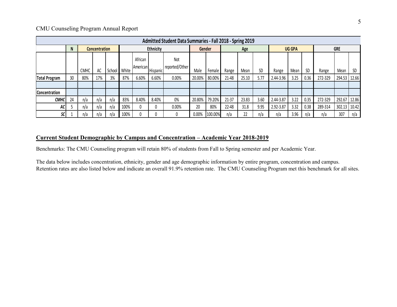|                      | Admitted Student Data Summaries - Fall 2018 - Spring 2019 |      |                      |        |       |                     |          |                              |        |         |       |       |      |           |               |      |            |        |       |
|----------------------|-----------------------------------------------------------|------|----------------------|--------|-------|---------------------|----------|------------------------------|--------|---------|-------|-------|------|-----------|---------------|------|------------|--------|-------|
|                      | N                                                         |      | <b>Concentration</b> |        |       | Ethnicity           |          |                              |        | Gender  | Age   |       |      |           | <b>UG GPA</b> |      | <b>GRE</b> |        |       |
|                      |                                                           | СМНС | AC                   | School | White | African<br>American | Hispanic | <b>Not</b><br>reported/Other | Male   | Female  | Range | Mean  | SD   | Range     | Mean          | SD   | Range      | Mean   | SD    |
| Total Program        | 30                                                        | 80%  | 17%                  | 3%     | 87%   | 6.60%               | 6.60%    | 0.00%                        | 20.00% | 80.00%  | 21-48 | 25.10 | 5.77 | 2.44-3.96 | 3.25          | 0.36 | 272-329    | 294.53 | 12.66 |
|                      |                                                           |      |                      |        |       |                     |          |                              |        |         |       |       |      |           |               |      |            |        |       |
| <b>Concentration</b> |                                                           |      |                      |        |       |                     |          |                              |        |         |       |       |      |           |               |      |            |        |       |
| <b>CMHC</b>          | 24                                                        | n/a  | n/a                  | n/a    | 83%   | 8.40%               | 8.40%    | 0%                           | 20.80% | 79.20%  | 21-37 | 23.83 | 3.60 | 2.44-3.87 | 3.22          | 0.35 | 272-329    | 292.67 | 12.86 |
| AC                   |                                                           | n/a  | n/a                  | n/a    | 100%  |                     | 0        | 0.00%                        | 20     | 80%     | 22-48 | 31.8  | 9.95 | 2.92-3.87 | 3.32          | 0.38 | 289-314    | 302.13 | 10.42 |
| SC                   |                                                           | n/a  | n/a                  | n/a    | 100%  |                     | 0        | 0                            | 0.00%  | 100.00% | n/a   | 22    | n/a  | n/a       | 3.96          | n/a  | n/a        | 307    | n/a   |

## <span id="page-4-0"></span>**Current Student Demographic by Campus and Concentration – Academic Year 2018-2019**

Benchmarks: The CMU Counseling program will retain 80% of students from Fall to Spring semester and per Academic Year.

The data below includes concentration, ethnicity, gender and age demographic information by entire program, concentration and campus. Retention rates are also listed below and indicate an overall 91.9% retention rate. The CMU Counseling Program met this benchmark for all sites.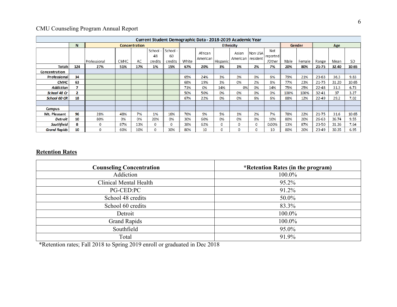|                     | Current Student Demographic Data - 2018-2019 Academic Year |              |                      |     |                         |                           |       |                     |           |                              |          |                           |      |        |           |       |       |
|---------------------|------------------------------------------------------------|--------------|----------------------|-----|-------------------------|---------------------------|-------|---------------------|-----------|------------------------------|----------|---------------------------|------|--------|-----------|-------|-------|
|                     | N                                                          |              | <b>Concentration</b> |     |                         |                           |       | <b>Ethnicity</b>    |           |                              |          |                           |      |        |           | Age   |       |
|                     |                                                            | Professional | <b>CMHC</b>          | AC  | School<br>48<br>credits | School -<br>60<br>credits | White | African<br>American | His panic | Asian<br>American   resident | Non USA  | Not<br>reported<br>/Other | Male | Female | Range     | Mean  | SD    |
| <b>Totals</b>       | 124                                                        | 27%          | 51%                  | 17% | 1%                      | 15%                       | 67%   | 20%                 | 3%        | 1%                           | 2%       | 7%                        | 20%  | 80%    | 21-75     | 32.40 | 10.65 |
| Concentration       |                                                            |              |                      |     |                         |                           |       |                     |           |                              |          |                           |      |        |           |       |       |
| Professional        | 34                                                         |              |                      |     |                         |                           | 65%   | 24%                 | 3%        | 3%                           | 0%       | 6%                        | 79%  | 21%    | $23 - 63$ | 36.3  | 9.83  |
| <b>CMHC</b>         | 63                                                         |              |                      |     |                         |                           | 68%   | 19%                 | 3%        | 0%                           | 2%       | 8%                        | 77%  | 23%    | $21 - 75$ | 31.20 | 10.65 |
| <b>Addiction</b>    | $\overline{\phantom{a}}$                                   |              |                      |     |                         |                           | 71%   | 0%                  | 14%       | 0%                           | 0%       | 14%                       | 75%  | 25%    | $22 - 48$ | 31.3  | 6.73  |
| School 48 Cr        | 2                                                          |              |                      |     |                         |                           | 50%   | 50%                 | 0%        | 0%                           | 0%       | 0%                        | 100% | 100%   | $32 - 41$ | 37    | 3.27  |
| <b>School 60 CR</b> | 18                                                         |              |                      |     |                         |                           | 67%   | 22%                 | 0%        | 0%                           | 6%       | 6%                        | 88%  | 12%    | $22 - 49$ | 29.2  | 7.02  |
|                     |                                                            |              |                      |     |                         |                           |       |                     |           |                              |          |                           |      |        |           |       |       |
| Campus              |                                                            |              |                      |     |                         |                           |       |                     |           |                              |          |                           |      |        |           |       |       |
| Mt. Pleasant        | 96                                                         | 28%          | 48%                  | 7%  | 1%                      | 16%                       | 76%   | 9%                  | 5%        | 1%                           | 2%       | 7%                        | 78%  | 22%    | $21 - 75$ | 31.6  | 10.65 |
| Detroit             | 10                                                         | 80%          | 0%                   | 0%  | 20%                     | 0%                        | 30%   | 60%                 | 0%        | 0%                           | 0%       | 10%                       | 80%  | 20%    | 26-63     | 36.74 | 9.55  |
| Southfield          | 8                                                          | 0            | 87%                  | 13% | 0                       | 0                         | 38%   | 62%                 | 0         | 0                            | 0        | 0.00%                     | 13%  | 87%    | 23-50     | 31.36 | 7.64  |
| <b>Grand Rapids</b> | 10                                                         | 0            | 60%                  | 10% | 0                       | 30%                       | 80%   | 10                  | 0         | 0                            | $\Omega$ | 10                        | 80%  | 20%    | 23-49     | 30.35 | 6.95  |

## <span id="page-5-0"></span>**Retention Rates**

| <b>Counseling Concentration</b> | *Retention Rates (in the program) |
|---------------------------------|-----------------------------------|
| Addiction                       | 100.0%                            |
| Clinical Mental Health          | 95.2%                             |
| PG-CED:PC                       | 91.2%                             |
| School 48 credits               | 50.0%                             |
| School 60 credits               | 83.3%                             |
| Detroit                         | 100.0%                            |
| <b>Grand Rapids</b>             | 100.0%                            |
| Southfield                      | 95.0%                             |
| Total                           | 91.9%                             |

\*Retention rates; Fall 2018 to Spring 2019 enroll or graduated in Dec 2018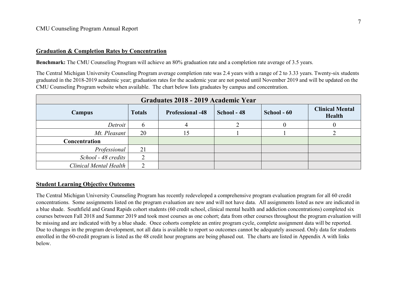### <span id="page-6-0"></span>**Graduation & Completion Rates by Concentration**

**Benchmark:** The CMU Counseling Program will achieve an 80% graduation rate and a completion rate average of 3.5 years.

The Central Michigan University Counseling Program average completion rate was 2.4 years with a range of 2 to 3.33 years. Twenty-six students graduated in the 2018-2019 academic year; graduation rates for the academic year are not posted until November 2019 and will be updated on the CMU Counseling Program website when available. The chart below lists graduates by campus and concentration.

| Graduates 2018 - 2019 Academic Year |               |                         |             |             |                                  |  |  |  |  |
|-------------------------------------|---------------|-------------------------|-------------|-------------|----------------------------------|--|--|--|--|
| Campus                              | <b>Totals</b> | <b>Professional -48</b> | School - 48 | School - 60 | <b>Clinical Mental</b><br>Health |  |  |  |  |
| Detroit                             | $\mathfrak b$ |                         |             |             |                                  |  |  |  |  |
| Mt. Pleasant                        | 20            | 15                      |             |             |                                  |  |  |  |  |
| Concentration                       |               |                         |             |             |                                  |  |  |  |  |
| Professional                        | 21            |                         |             |             |                                  |  |  |  |  |
| School - 48 credits                 | 2             |                         |             |             |                                  |  |  |  |  |
| Clinical Mental Health              | ↑             |                         |             |             |                                  |  |  |  |  |

### <span id="page-6-1"></span>**Student Learning Objective Outcomes**

The Central Michigan University Counseling Program has recently redeveloped a comprehensive program evaluation program for all 60 credit concentrations. Some assignments listed on the program evaluation are new and will not have data. All assignments listed as new are indicated in a blue shade. Southfield and Grand Rapids cohort students (60 credit school, clinical mental health and addiction concentrations) completed six courses between Fall 2018 and Summer 2019 and took most courses as one cohort; data from other courses throughout the program evaluation will be missing and are indicated with by a blue shade. Once cohorts complete an entire program cycle, complete assignment data will be reported. Due to changes in the program development, not all data is available to report so outcomes cannot be adequately assessed. Only data for students enrolled in the 60-credit program is listed as the 48 credit hour programs are being phased out. The charts are listed in Appendix A with links below.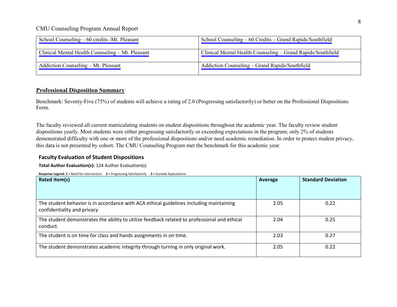| School Counseling $-60$ credits -Mt. Pleasant    | School Counseling – 60 Credits – Grand Rapids/Southfield    |
|--------------------------------------------------|-------------------------------------------------------------|
| Clinical Mental Health Counseling – Mt. Pleasant | Clinical Mental Health Counseling – Grand Rapids/Southfield |
| Addiction Counseling – Mt. Pleasant              | Addiction Counseling – Grand Rapids/Southfield              |

## <span id="page-7-0"></span>**Professional Disposition Summary**

Benchmark: Seventy-Five (75%) of students will achieve a rating of 2.0 (Progressing satisfactorily) or better on the Professional Dispositions Form.

The faculty reviewed all current matriculating students on student dispositions throughout the academic year. The faculty review student dispositions yearly. Most students were either progressing satisfactorily or exceeding expectations in the program; only 2% of students demonstrated difficulty with one or more of the professional dispositions and/or need academic remediation. In order to protect student privacy, this data is not presented by cohort. The CMU Counseling Program met the benchmark for this academic year.

## **Faculty Evaluation of Student Dispositions**

**Total Author Evaluation(s):** 124 Author Evaluation(s)

**Response Legend: 1 =** Need for intervention **2 =** Progressing Satisfactorily **3 =** Exceeds Expectations

| Rated Item(s)                                                                                                          | Average | <b>Standard Deviation</b> |
|------------------------------------------------------------------------------------------------------------------------|---------|---------------------------|
|                                                                                                                        |         |                           |
| The student behavior is in accordance with ACA ethical guidelines including maintaining<br>confidentiality and privacy | 2.05    | 0.22                      |
| The student demonstrates the ability to utilize feedback related to professional and ethical<br>conduct.               | 2.04    | 0.25                      |
| The student is on time for class and hands assignments in on time.                                                     | 2.03    | 0.27                      |
| The student demonstrates academic integrity through turning in only original work.                                     | 2.05    | 0.22                      |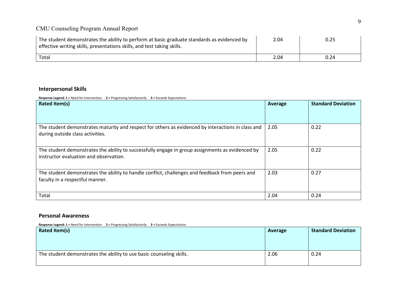| The student demonstrates the ability to perform at basic graduate standards as evidenced by<br>effective writing skills, presentations skills, and test taking skills. | 2.04 | 0.25 |
|------------------------------------------------------------------------------------------------------------------------------------------------------------------------|------|------|
| Total                                                                                                                                                                  | 2.04 | 0.24 |

### **Interpersonal Skills**

**Response Legend: 1 =** Need for Intervention **2 =** Progressing Satisfactorily **3 =** Exceeds Expectations

| Rated Item(s)                                                                                                                              | Average | <b>Standard Deviation</b> |  |
|--------------------------------------------------------------------------------------------------------------------------------------------|---------|---------------------------|--|
|                                                                                                                                            |         |                           |  |
| The student demonstrates maturity and respect for others as evidenced by interactions in class and<br>during outside class activities.     | 2.05    | 0.22                      |  |
| The student demonstrates the ability to successfully engage in group assignments as evidenced by<br>instructor evaluation and observation. | 2.05    | 0.22                      |  |
| The student demonstrates the ability to handle conflict, challenges and feedback from peers and<br>faculty in a respectful manner.         | 2.03    | 0.27                      |  |
| Total                                                                                                                                      | 2.04    | 0.24                      |  |

### **Personal Awareness**

**Response Legend: 1 =** Need for Intervention **2 =** Progressing Satisfactorily **3 =** Exceeds Expectations

| Rated Item(s)                                                        | Average | <b>Standard Deviation</b> |
|----------------------------------------------------------------------|---------|---------------------------|
| The student demonstrates the ability to use basic counseling skills. | 2.06    | 0.24                      |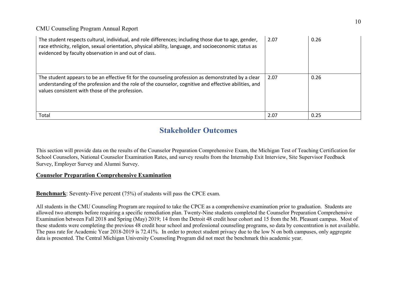| The student respects cultural, individual, and role differences; including those due to age, gender,<br>race ethnicity, religion, sexual orientation, physical ability, language, and socioeconomic status as<br>evidenced by faculty observation in and out of class. | 2.07 | 0.26 |
|------------------------------------------------------------------------------------------------------------------------------------------------------------------------------------------------------------------------------------------------------------------------|------|------|
| The student appears to be an effective fit for the counseling profession as demonstrated by a clear<br>understanding of the profession and the role of the counselor, cognitive and effective abilities, and<br>values consistent with those of the profession.        | 2.07 | 0.26 |
| Total                                                                                                                                                                                                                                                                  | 2.07 | 0.25 |

## **Stakeholder Outcomes**

<span id="page-9-0"></span>This section will provide data on the results of the Counselor Preparation Comprehensive Exam, the Michigan Test of Teaching Certification for School Counselors, National Counselor Examination Rates, and survey results from the Internship Exit Interview, Site Supervisor Feedback Survey, Employer Survey and Alumni Survey.

## <span id="page-9-1"></span>**Counselor Preparation Comprehensive Examination**

**Benchmark**: Seventy-Five percent (75%) of students will pass the CPCE exam.

All students in the CMU Counseling Program are required to take the CPCE as a comprehensive examination prior to graduation. Students are allowed two attempts before requiring a specific remediation plan. Twenty-Nine students completed the Counselor Preparation Comprehensive Examination between Fall 2018 and Spring (May) 2019; 14 from the Detroit 48 credit hour cohort and 15 from the Mt. Pleasant campus. Most of these students were completing the previous 48 credit hour school and professional counseling programs, so data by concentration is not available. The pass rate for Academic Year 2018-2019 is 72.41%. In order to protect student privacy due to the low N on both campuses, only aggregate data is presented. The Central Michigan University Counseling Program did not meet the benchmark this academic year.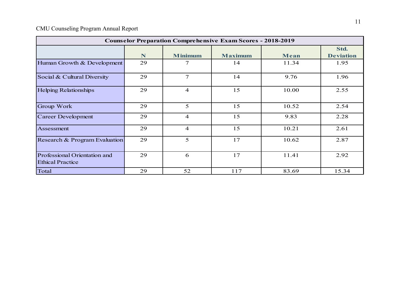| <b>Counselor Preparation Comprehensive Exam Scores - 2018-2019</b> |    |                |                |       |                          |  |  |  |  |  |
|--------------------------------------------------------------------|----|----------------|----------------|-------|--------------------------|--|--|--|--|--|
|                                                                    | N  | <b>Minimum</b> | <b>Maximum</b> | Mean  | Std.<br><b>Deviation</b> |  |  |  |  |  |
| Human Growth & Development                                         | 29 | 7              | 14             | 11.34 | 1.95                     |  |  |  |  |  |
| Social & Cultural Diversity                                        | 29 | $\tau$         | 14             | 9.76  | 1.96                     |  |  |  |  |  |
| <b>Helping Relationships</b>                                       | 29 | $\overline{4}$ | 15             | 10.00 | 2.55                     |  |  |  |  |  |
| Group Work                                                         | 29 | 5              | 15             | 10.52 | 2.54                     |  |  |  |  |  |
| <b>Career Development</b>                                          | 29 | $\overline{4}$ | 15             | 9.83  | 2.28                     |  |  |  |  |  |
| Assessment                                                         | 29 | $\overline{4}$ | 15             | 10.21 | 2.61                     |  |  |  |  |  |
| Research & Program Evaluation                                      | 29 | 5              | 17             | 10.62 | 2.87                     |  |  |  |  |  |
| Professional Orientation and<br><b>Ethical Practice</b>            | 29 | 6              | 17             | 11.41 | 2.92                     |  |  |  |  |  |
| Total                                                              | 29 | 52             | 117            | 83.69 | 15.34                    |  |  |  |  |  |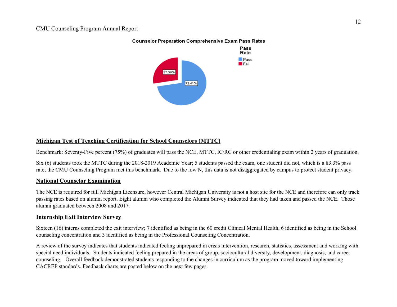

#### **Counselor Preparation Comprehensive Exam Pass Rates**

## <span id="page-11-0"></span>**Michigan Test of Teaching Certification for School Counselors (MTTC)**

Benchmark: Seventy-Five percent (75%) of graduates will pass the NCE, MTTC, IC/RC or other credentialing exam within 2 years of graduation.

Six (6) students took the MTTC during the 2018-2019 Academic Year; 5 students passed the exam, one student did not, which is a 83.3% pass rate; the CMU Counseling Program met this benchmark. Due to the low N, this data is not disaggregated by campus to protect student privacy.

## <span id="page-11-1"></span>**National Counselor Examination**

The NCE is required for full Michigan Licensure, however Central Michigan University is not a host site for the NCE and therefore can only track passing rates based on alumni report. Eight alumni who completed the Alumni Survey indicated that they had taken and passed the NCE. Those alumni graduated between 2008 and 2017.

## <span id="page-11-2"></span>**Internship Exit Interview Survey**

Sixteen (16) interns completed the exit interview; 7 identified as being in the 60 credit Clinical Mental Health, 6 identified as being in the School counseling concentration and 3 identified as being in the Professional Counseling Concentration.

A review of the survey indicates that students indicated feeling unprepared in crisis intervention, research, statistics, assessment and working with special need individuals. Students indicated feeling prepared in the areas of group, sociocultural diversity, development, diagnosis, and career counseling. Overall feedback demonstrated students responding to the changes in curriculum as the program moved toward implementing CACREP standards. Feedback charts are posted below on the next few pages.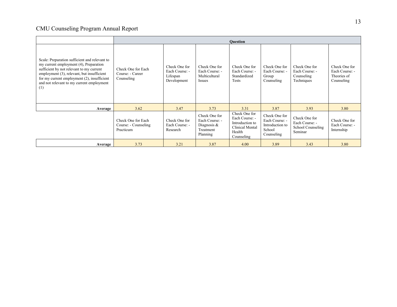|                                                                                                                                                                                                                                                                                      | <b>Ouestion</b><br>Check One for<br>Check One for<br>Check One for<br>Check One for<br>Check One for<br>Check One for<br>Each Course: -<br>Each Course: -<br>Each Course: -<br>Each Course: -<br>Each Course: -<br>Each Course: -<br>Standardized<br>Theories of<br>Lifespan<br>Multicultural<br>Counseling<br>Group<br>Tests<br>Techniques<br>Development<br>Counseling<br>Counseling<br><b>Issues</b> |                                             |                                                                           |                                                                                               |                                                                            |                                                                 |                                               |  |  |
|--------------------------------------------------------------------------------------------------------------------------------------------------------------------------------------------------------------------------------------------------------------------------------------|---------------------------------------------------------------------------------------------------------------------------------------------------------------------------------------------------------------------------------------------------------------------------------------------------------------------------------------------------------------------------------------------------------|---------------------------------------------|---------------------------------------------------------------------------|-----------------------------------------------------------------------------------------------|----------------------------------------------------------------------------|-----------------------------------------------------------------|-----------------------------------------------|--|--|
| Scale: Preparation sufficient and relevant to<br>my current employment (4), Preparation<br>sufficient by not relevant to my current<br>employment (3), relevant, but insufficient<br>for my current employment (2), insufficient<br>and not relevant to my current employment<br>(1) | Check One for Each<br>Course: - Career<br>Counseling                                                                                                                                                                                                                                                                                                                                                    |                                             |                                                                           |                                                                                               |                                                                            |                                                                 |                                               |  |  |
| Average                                                                                                                                                                                                                                                                              | 3.62                                                                                                                                                                                                                                                                                                                                                                                                    | 3.47                                        | 3.73                                                                      | 3.31                                                                                          | 3.87                                                                       | 3.93                                                            | 3.80                                          |  |  |
|                                                                                                                                                                                                                                                                                      | Check One for Each<br>Course: - Counseling<br>Practicum                                                                                                                                                                                                                                                                                                                                                 | Check One for<br>Each Course: -<br>Research | Check One for<br>Each Course: -<br>Diagnosis $&$<br>Treatment<br>Planning | Check One for<br>Each Course: -<br>Introduction to<br>Clinical Mental<br>Health<br>Counseling | Check One for<br>Each Course: -<br>Introduction to<br>School<br>Counseling | Check One for<br>Each Course: -<br>School Counseling<br>Seminar | Check One for<br>Each Course: -<br>Internship |  |  |
| Average                                                                                                                                                                                                                                                                              | 3.73                                                                                                                                                                                                                                                                                                                                                                                                    | 3.21                                        | 3.87                                                                      | 4.00                                                                                          | 3.89                                                                       | 3.43                                                            | 3.80                                          |  |  |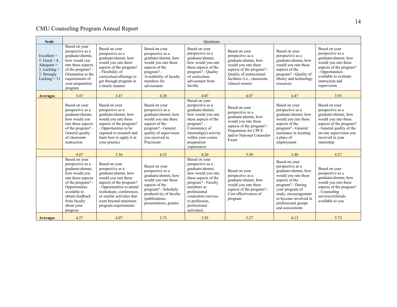| <b>Scale</b>                                                                                           |                                                                                                                                                                                                                 |                                                                                                                                                                                                                                                   |                                                                                                                                                                                                    | Ouestions                                                                                                                                                                                                                       |                                                                                                                                                                                               |                                                                                                                                                                                                                                         |                                                                                                                                                                                                       |
|--------------------------------------------------------------------------------------------------------|-----------------------------------------------------------------------------------------------------------------------------------------------------------------------------------------------------------------|---------------------------------------------------------------------------------------------------------------------------------------------------------------------------------------------------------------------------------------------------|----------------------------------------------------------------------------------------------------------------------------------------------------------------------------------------------------|---------------------------------------------------------------------------------------------------------------------------------------------------------------------------------------------------------------------------------|-----------------------------------------------------------------------------------------------------------------------------------------------------------------------------------------------|-----------------------------------------------------------------------------------------------------------------------------------------------------------------------------------------------------------------------------------------|-------------------------------------------------------------------------------------------------------------------------------------------------------------------------------------------------------|
| $Excellent =$<br>5, Good = $4$ ,<br>$A$ dequate =<br>$3$ , Lacking =<br>2, Strongly<br>Lacking $= 1$ ) | Based on your<br>perspective as a<br>graduate/alumni,<br>how would you<br>rate these aspects<br>of the program? -<br>Orientation to the<br>requirements of<br>your preparation<br>program                       | Based on your<br>perspective as a<br>graduate/alumni, how<br>would you rate these<br>aspects of the program?<br>- Flexibility of<br>curriculum/offerings to<br>get through program in<br>a timely manner                                          | Based on your<br>perspective as a<br>graduate/alumni, how<br>would you rate these<br>aspects of the<br>program? -<br>Availability of faculty<br>members for<br>advisement                          | Based on your<br>perspective as a<br>graduate/alumni,<br>how would you rate<br>these aspects of the<br>program? - Quality<br>of curriculum<br>advisement from<br>faculty                                                        | Based on your<br>perspective as a<br>graduate/alumni, how<br>would you rate these<br>aspects of the program? -<br>Quality of instructional<br>facilities (i.e., classroom,<br>clinical rooms) | Based on your<br>perspective as a<br>graduate/alumni, how<br>would you rate these<br>aspects of the<br>program? - Quality of<br>library and technology<br>resources                                                                     | Based on your<br>perspective as a<br>graduate/alumni, how<br>would you rate these<br>aspects of the program?<br>- Opportunities<br>available to evaluate<br>instruction and<br>supervision            |
| <b>Averages</b>                                                                                        | 3.47                                                                                                                                                                                                            | 3.47                                                                                                                                                                                                                                              | 4.20                                                                                                                                                                                               | 4.07                                                                                                                                                                                                                            | 4.07                                                                                                                                                                                          | 4.47                                                                                                                                                                                                                                    | 3.93                                                                                                                                                                                                  |
|                                                                                                        | Based on your<br>perspective as a<br>graduate/alumni,<br>how would you<br>rate these aspects<br>of the program? -<br>General quality<br>of classroom<br>instruction                                             | Based on your<br>perspective as a<br>graduate/alumni, how<br>would you rate these<br>aspects of the program?<br>- Opportunities to be<br>exposed to research and<br>learn how to apply it in<br>your practice                                     | Based on your<br>perspective as a<br>graduate/alumni, how<br>would you rate these<br>aspects of the<br>program? - General<br>quality of supervision<br>vou received in<br>Practicum                | Based on your<br>perspective as a<br>graduate/alumni,<br>how would you rate<br>these aspects of the<br>program? -<br>Consistency of<br>internship(s) activity<br>within your course<br>preparation<br>experiences               | Based on your<br>perspective as a<br>graduate/alumni, how<br>would you rate these<br>aspects of the program? -<br>Preparation for CPCE<br>and/or National Counselor<br>Exam                   | Based on your<br>perspective as a<br>graduate/alumni, how<br>would you rate these<br>aspects of the<br>program? - General<br>assistance in locating<br>a place of<br>employment                                                         | Based on your<br>perspective as a<br>graduate/alumni, how<br>would you rate these<br>aspects of the program?<br>- General quality of the<br>on-site supervision you<br>received in your<br>internship |
|                                                                                                        | 4.07                                                                                                                                                                                                            | 3.36                                                                                                                                                                                                                                              | 4.33                                                                                                                                                                                               | 4.20                                                                                                                                                                                                                            | 3.50                                                                                                                                                                                          | 3.40                                                                                                                                                                                                                                    | 4.27                                                                                                                                                                                                  |
|                                                                                                        | Based on your<br>perspective as a<br>graduate/alumni,<br>how would you<br>rate these aspects<br>of the program? -<br>Opportunities<br>available to<br>obtain feedback<br>from faculty<br>about your<br>progress | Based on your<br>perspective as a<br>graduate/alumni, how<br>would you rate these<br>aspects of the program?<br>- Opportunities to attend<br>workshops, conferences,<br>or similar activities that<br>went beyond minimum<br>program requirements | Based on your<br>perspective as a<br>graduate/alumni, how<br>would you rate these<br>aspects of the<br>program? - Scholarly<br>productivity of faculty<br>(publications,<br>presentations, grants) | Based on your<br>perspective as a<br>graduate/alumni,<br>how would you rate<br>these aspects of the<br>program? - Faculty<br>members as<br>professional<br>counselors (service<br>to profession,<br>professional<br>activities) | Based on your<br>perspective as a<br>graduate/alumni, how<br>would you rate these<br>aspects of the program? -<br>Cost effectiveness of<br>program                                            | Based on your<br>perspective as a<br>graduate/alumni, how<br>would you rate these<br>aspects of the<br>program? - During<br>your program of<br>study, encouragement<br>to become involved in<br>professional groups<br>and associations | Based on your<br>perspective as a<br>graduate/alumni, how<br>would you rate these<br>aspects of the program?<br>- Counseling<br>services/referrals<br>available to you                                |
| <b>Averages</b>                                                                                        | 4.27                                                                                                                                                                                                            | 4.07                                                                                                                                                                                                                                              | 3.73                                                                                                                                                                                               | 3.92                                                                                                                                                                                                                            | 3.27                                                                                                                                                                                          | 4.13                                                                                                                                                                                                                                    | 3.73                                                                                                                                                                                                  |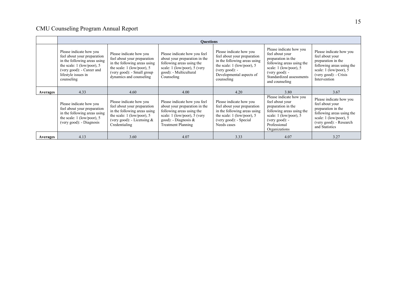|                 |                                                                                                                                                                                                                                                                                                                                                                             |                                                                                                                                                                         | <b>Ouestions</b>                                                                                                                                                                   |                                                                                                                                                                                      |                                                                                                                                                                                             |                                                                                                                                                                      |
|-----------------|-----------------------------------------------------------------------------------------------------------------------------------------------------------------------------------------------------------------------------------------------------------------------------------------------------------------------------------------------------------------------------|-------------------------------------------------------------------------------------------------------------------------------------------------------------------------|------------------------------------------------------------------------------------------------------------------------------------------------------------------------------------|--------------------------------------------------------------------------------------------------------------------------------------------------------------------------------------|---------------------------------------------------------------------------------------------------------------------------------------------------------------------------------------------|----------------------------------------------------------------------------------------------------------------------------------------------------------------------|
|                 | Please indicate how you<br>Please indicate how you<br>feel about your preparation<br>feel about your preparation<br>in the following areas using<br>in the following areas using<br>the scale: $1$ (low/poor), 5<br>the scale: $1$ (low/poor), 5<br>(very good): - Career and<br>(very good): - Small group<br>lifestyle issues in<br>dynamics and counseling<br>counseling |                                                                                                                                                                         | Please indicate how you feel<br>about your preparation in the<br>following areas using the<br>scale: 1 (low/poor), 5 (very<br>good): - Multicultural<br>Counseling                 | Please indicate how you<br>feel about your preparation<br>in the following areas using<br>the scale: $1$ (low/poor), 5<br>$(very good): -$<br>Developmental aspects of<br>counseling | Please indicate how you<br>feel about your<br>preparation in the<br>following areas using the<br>scale: $1$ (low/poor), 5<br>$(very good): -$<br>Standardized assessments<br>and counseling | Please indicate how you<br>feel about your<br>preparation in the<br>following areas using the<br>scale: 1 (low/poor), 5<br>(very good): - Crisis<br>Intervention     |
| <b>Averages</b> | 4.33                                                                                                                                                                                                                                                                                                                                                                        | 4.60                                                                                                                                                                    | 4.00                                                                                                                                                                               | 4.20                                                                                                                                                                                 | 3.80                                                                                                                                                                                        | 3.67                                                                                                                                                                 |
|                 | Please indicate how you<br>feel about your preparation<br>in the following areas using<br>the scale: $1$ (low/poor), 5<br>(very good): - Diagnosis                                                                                                                                                                                                                          | Please indicate how you<br>feel about your preparation<br>in the following areas using<br>the scale: $1$ (low/poor), 5<br>(very good): - Licensing $&$<br>Credentialing | Please indicate how you feel<br>about your preparation in the<br>following areas using the<br>scale: 1 (low/poor), 5 (very<br>$good)$ : - Diagnosis &<br><b>Treatment Planning</b> | Please indicate how you<br>feel about your preparation<br>in the following areas using<br>the scale: $1$ (low/poor), 5<br>(very good): - Special<br>Needs cases                      | Please indicate how you<br>feel about your<br>preparation in the<br>following areas using the<br>scale: $1$ (low/poor), 5<br>$(very good): -$<br>Professional<br>Organizations              | Please indicate how you<br>feel about your<br>preparation in the<br>following areas using the<br>scale: 1 (low/poor), 5<br>(very good): - Research<br>and Statistics |
| <b>Averages</b> | 4.13                                                                                                                                                                                                                                                                                                                                                                        | 3.60                                                                                                                                                                    | 4.07                                                                                                                                                                               | 3.33                                                                                                                                                                                 | 4.07                                                                                                                                                                                        | 3.27                                                                                                                                                                 |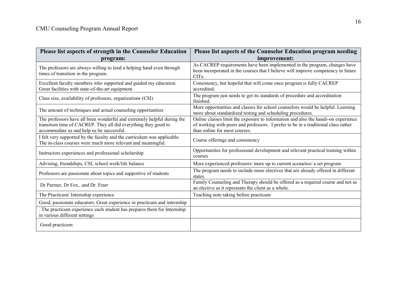| Please list aspects of strength in the Counselor Education                                                                                                                              | Please list aspects of the Counselor Education program needing                                                                                                                                           |
|-----------------------------------------------------------------------------------------------------------------------------------------------------------------------------------------|----------------------------------------------------------------------------------------------------------------------------------------------------------------------------------------------------------|
| program:                                                                                                                                                                                | improvement:                                                                                                                                                                                             |
| The professors are always willing to lend a helping hand even through<br>times of transition in the program.                                                                            | As CACREP requirements have been implemented in the program, changes have<br>been incorporated in the courses that I believe will improve competency in future<br>CIT <sub>s</sub> .                     |
| Excellent faculty members who supported and guided my education.<br>Great facilities with state-of-the-art equipment.                                                                   | Consistency, but hopeful that will come once program is fully CACREP<br>accredited.                                                                                                                      |
| Class size, availability of professors, organizations (CSI)                                                                                                                             | The program just needs to get its standards of procedure and accreditation<br>finished.                                                                                                                  |
| The amount of techniques and actual counseling opportunities                                                                                                                            | More opportunities and classes for school counselors would be helpful. Learning<br>more about standardized testing and scheduling procedures.                                                            |
| The professors have all been wonderful and extremely helpful during the<br>transition time of CACREP. They all did everything they good to<br>accommodate us and help us be successful. | Online classes limit the exposure to information and also the hands-on experience<br>of working with peers and professors. I prefer to be in a traditional class rather<br>than online for most courses. |
| I felt very supported by the faculty and the curriculum was applicable.<br>The in-class courses were much more relevant and meaningful.                                                 | Course offerings and consistency                                                                                                                                                                         |
| Instructors experiences and professional scholarship                                                                                                                                    | Opportunities for professional development and relevant practical training within<br>courses                                                                                                             |
| Advising, friendships, CSI, school work/life balance                                                                                                                                    | More experienced professors/ more up to current scenarios/ a set program                                                                                                                                 |
| Professors are passionate about topics and supportive of students                                                                                                                       | The program needs to include more electives that are already offered in different<br>states                                                                                                              |
| Dr Parmer, Dr Fox,. and Dr. Frarr                                                                                                                                                       | Family Counseling and Therapy should be offered as a required course and not as<br>an elective as it represents the client as a whole.                                                                   |
| The Practicum/ Internship experience                                                                                                                                                    | Teaching note taking before practicum                                                                                                                                                                    |
| Good, passionate educators. Great experience in practicum and internship                                                                                                                |                                                                                                                                                                                                          |
| . The practicum experience each student has prepares them for Internship<br>in various different settings                                                                               |                                                                                                                                                                                                          |
| Good practicum                                                                                                                                                                          |                                                                                                                                                                                                          |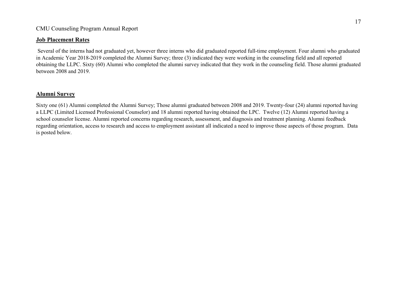## <span id="page-16-0"></span>**Job Placement Rates**

Several of the interns had not graduated yet, however three interns who did graduated reported full-time employment. Four alumni who graduated in Academic Year 2018-2019 completed the Alumni Survey; three (3) indicated they were working in the counseling field and all reported obtaining the LLPC. Sixty (60) Alumni who completed the alumni survey indicated that they work in the counseling field. Those alumni graduated between 2008 and 2019.

## <span id="page-16-1"></span>**Alumni Survey**

Sixty one (61) Alumni completed the Alumni Survey; Those alumni graduated between 2008 and 2019. Twenty-four (24) alumni reported having a LLPC (Limited Licensed Professional Counselor) and 18 alumni reported having obtained the LPC. Twelve (12) Alumni reported having a school counselor license. Alumni reported concerns regarding research, assessment, and diagnosis and treatment planning. Alumni feedback regarding orientation, access to research and access to employment assistant all indicated a need to improve those aspects of those program. Data is posted below.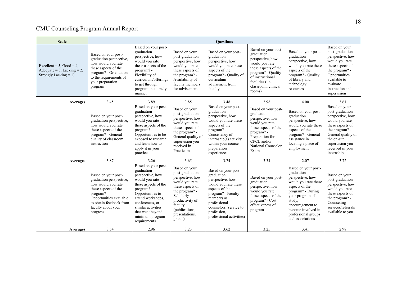| <b>Scale</b>                                                                          |                                                                                                                                                                                                    |                                                                                                                                                                                                                                                        |                                                                                                                                                                                                        | <b>Ouestions</b>                                                                                                                                                                                                         |                                                                                                                                                                                                 |                                                                                                                                                                                                                                        |                                                                                                                                                                                                        |
|---------------------------------------------------------------------------------------|----------------------------------------------------------------------------------------------------------------------------------------------------------------------------------------------------|--------------------------------------------------------------------------------------------------------------------------------------------------------------------------------------------------------------------------------------------------------|--------------------------------------------------------------------------------------------------------------------------------------------------------------------------------------------------------|--------------------------------------------------------------------------------------------------------------------------------------------------------------------------------------------------------------------------|-------------------------------------------------------------------------------------------------------------------------------------------------------------------------------------------------|----------------------------------------------------------------------------------------------------------------------------------------------------------------------------------------------------------------------------------------|--------------------------------------------------------------------------------------------------------------------------------------------------------------------------------------------------------|
| Excellent = $5$ , Good = 4,<br>Adequate = 3, Lacking = 2,<br>Strongly Lacking = $1$ ) | Based on your post-<br>graduation perspective,<br>how would you rate<br>these aspects of the<br>program? - Orientation<br>to the requirements of<br>your preparation<br>program                    | Based on your post-<br>graduation<br>perspective, how<br>would you rate<br>these aspects of the<br>program? -<br>Flexibility of<br>curriculum/offerings<br>to get through<br>program in a timely<br>manner                                             | Based on your<br>post-graduation<br>perspective, how<br>would you rate<br>these aspects of<br>the program? -<br>Availability of<br>faculty members<br>for advisement                                   | Based on your post-<br>graduation<br>perspective, how<br>would you rate these<br>aspects of the<br>program? - Quality of<br>curriculum<br>advisement from<br>faculty                                                     | Based on your post-<br>graduation<br>perspective, how<br>would you rate<br>these aspects of the<br>program? - Quality<br>of instructional<br>facilities (i.e.,<br>classroom, clinical<br>rooms) | Based on your post-<br>graduation<br>perspective, how<br>would you rate these<br>aspects of the<br>program? - Quality<br>of library and<br>technology<br>resources                                                                     | Based on your<br>post-graduation<br>perspective, how<br>would you rate<br>these aspects of<br>the program? -<br>Opportunities<br>available to<br>evaluate<br>instruction and<br>supervision            |
| Averages                                                                              | 3.45                                                                                                                                                                                               | 3.89                                                                                                                                                                                                                                                   | 3.85                                                                                                                                                                                                   | 3.48                                                                                                                                                                                                                     | 3.98                                                                                                                                                                                            | 4.00                                                                                                                                                                                                                                   | 3.61                                                                                                                                                                                                   |
|                                                                                       | Based on your post-<br>graduation perspective,<br>how would you rate<br>these aspects of the<br>program? - General<br>quality of classroom<br>instruction                                          | Based on your post-<br>graduation<br>perspective, how<br>would you rate<br>these aspects of the<br>program? -<br>Opportunities to be<br>exposed to research<br>and learn how to<br>apply it in your<br>practice                                        | Based on your<br>post-graduation<br>perspective, how<br>would you rate<br>these aspects of<br>the program? -<br>General quality of<br>supervision you<br>received in<br>Practicum                      | Based on your post-<br>graduation<br>perspective, how<br>would you rate these<br>aspects of the<br>program? -<br>Consistency of<br>$internship(s)$ activity<br>within your course<br>preparation<br>experiences          | Based on your post-<br>graduation<br>perspective, how<br>would you rate<br>these aspects of the<br>program? -<br>Preparation for<br>CPCE and/or<br>National Counselor<br>Exam                   | Based on your post-<br>graduation<br>perspective, how<br>would you rate these<br>aspects of the<br>program? - General<br>assistance in<br>locating a place of<br>employment                                                            | Based on your<br>post-graduation<br>perspective, how<br>would you rate<br>these aspects of<br>the program? -<br>General quality of<br>the on-site<br>supervision you<br>received in your<br>internship |
| Averages                                                                              | 3.87                                                                                                                                                                                               | 3.26                                                                                                                                                                                                                                                   | 3.65                                                                                                                                                                                                   | 3.74                                                                                                                                                                                                                     | 3.34                                                                                                                                                                                            | 2.07                                                                                                                                                                                                                                   | 3.72                                                                                                                                                                                                   |
|                                                                                       | Based on your post-<br>graduation perspective,<br>how would you rate<br>these aspects of the<br>program? -<br>Opportunities available<br>to obtain feedback from<br>faculty about your<br>progress | Based on your post-<br>graduation<br>perspective, how<br>would you rate<br>these aspects of the<br>program? -<br>Opportunities to<br>attend workshops,<br>conferences, or<br>similar activities<br>that went beyond<br>minimum program<br>requirements | Based on your<br>post-graduation<br>perspective, how<br>would you rate<br>these aspects of<br>the program? -<br>Scholarly<br>productivity of<br>faculty<br>(publications,<br>presentations,<br>grants) | Based on your post-<br>graduation<br>perspective, how<br>would you rate these<br>aspects of the<br>program? - Faculty<br>members as<br>professional<br>counselors (service to<br>profession.<br>professional activities) | Based on your post-<br>graduation<br>perspective, how<br>would you rate<br>these aspects of the<br>program? - Cost<br>effectiveness of<br>program                                               | Based on your post-<br>graduation<br>perspective, how<br>would you rate these<br>aspects of the<br>program? - During<br>your program of<br>study,<br>encouragement to<br>become involved in<br>professional groups<br>and associations | Based on your<br>post-graduation<br>perspective, how<br>would you rate<br>these aspects of<br>the program? -<br>Counseling<br>services/referrals<br>available to you                                   |
| Averages                                                                              | 3.54                                                                                                                                                                                               | 2.96                                                                                                                                                                                                                                                   | 3.23                                                                                                                                                                                                   | 3.62                                                                                                                                                                                                                     | 3.25                                                                                                                                                                                            | 3.41                                                                                                                                                                                                                                   | 2.98                                                                                                                                                                                                   |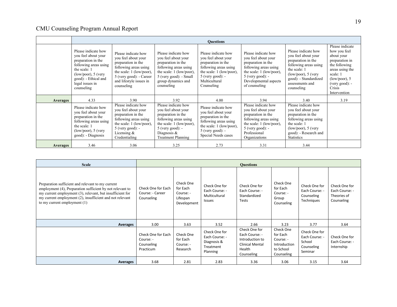|                 |                                                                                                                                                                                              |                                                                                                                                                                                           |                                                                                                                                                                                       | <b>Ouestions</b>                                                                                                                                                                                                                                                                                                                                                    |                                                                                                                                                                              |                                                                                                                                                                                               |                                                                                                                                                                                   |
|-----------------|----------------------------------------------------------------------------------------------------------------------------------------------------------------------------------------------|-------------------------------------------------------------------------------------------------------------------------------------------------------------------------------------------|---------------------------------------------------------------------------------------------------------------------------------------------------------------------------------------|---------------------------------------------------------------------------------------------------------------------------------------------------------------------------------------------------------------------------------------------------------------------------------------------------------------------------------------------------------------------|------------------------------------------------------------------------------------------------------------------------------------------------------------------------------|-----------------------------------------------------------------------------------------------------------------------------------------------------------------------------------------------|-----------------------------------------------------------------------------------------------------------------------------------------------------------------------------------|
|                 | Please indicate how<br>you feel about your<br>preparation in the<br>following areas using<br>the scale: 1<br>$(low/poor)$ , 5 (very<br>good): - Ethical and<br>legal issues in<br>counseling | Please indicate how<br>you feel about your<br>preparation in the<br>following areas using<br>the scale: 1 (low/poor),<br>5 (very good): - Career<br>and lifestyle issues in<br>counseling | Please indicate how<br>you feel about your<br>preparation in the<br>following areas using<br>the scale: $1$ (low/poor),<br>5 (very good): - Small<br>group dynamics and<br>counseling | Please indicate how<br>Please indicate how<br>you feel about your<br>you feel about your<br>preparation in the<br>preparation in the<br>following areas using<br>following areas using<br>the scale: 1 (low/poor),<br>the scale: 1 (low/poor),<br>$5$ (very good): -<br>$5$ (very good): -<br>Multicultural<br>Developmental aspects<br>Counseling<br>of counseling |                                                                                                                                                                              | Please indicate how<br>you feel about your<br>preparation in the<br>following areas using<br>the scale: 1<br>$(low/poor)$ , 5 (very<br>good): - Standardized<br>assessments and<br>counseling | Please indicate<br>how you feel<br>about your<br>preparation in<br>the following<br>areas using the<br>scale: 1<br>$(low/poor)$ , 5<br>$(very good): -$<br>Crisis<br>Intervention |
| <b>Averages</b> | 4.33                                                                                                                                                                                         | 3.90                                                                                                                                                                                      | 3.92                                                                                                                                                                                  | 4.00                                                                                                                                                                                                                                                                                                                                                                | 3.94                                                                                                                                                                         | 3.40                                                                                                                                                                                          | 3.19                                                                                                                                                                              |
|                 | Please indicate how<br>you feel about your<br>preparation in the<br>following areas using<br>the scale: 1<br>$(low/poor)$ , 5 (very<br>good): - Diagnosis                                    | Please indicate how<br>you feel about your<br>preparation in the<br>following areas using<br>the scale: 1 (low/poor),<br>$5$ (very good): -<br>Licensing $&$<br>Credentialing             | Please indicate how<br>you feel about your<br>preparation in the<br>following areas using<br>the scale: $1$ (low/poor),<br>$5$ (very good): -<br>Diagnosis $\&$<br>Treatment Planning | Please indicate how<br>you feel about your<br>preparation in the<br>following areas using<br>the scale: 1 (low/poor),<br>$5$ (very good): -<br>Special Needs cases                                                                                                                                                                                                  | Please indicate how<br>you feel about your<br>preparation in the<br>following areas using<br>the scale: 1 (low/poor),<br>$5$ (very good): -<br>Professional<br>Organizations | Please indicate how<br>you feel about your<br>preparation in the<br>following areas using<br>the scale: 1<br>$(low/poor)$ , 5 (very<br>good): - Research and<br><b>Statistics</b>             |                                                                                                                                                                                   |
| <b>Averages</b> | 3.46                                                                                                                                                                                         | 3.06                                                                                                                                                                                      | 3.25                                                                                                                                                                                  | 2.73                                                                                                                                                                                                                                                                                                                                                                | 3.31                                                                                                                                                                         | 3.44                                                                                                                                                                                          |                                                                                                                                                                                   |

| <b>Scale</b>                                                                                                                                                                                                                                                              |                                                            |                                                               |                                                                         | <b>Questions</b>                                                                                     |                                                                               |                                                                    |                                                              |
|---------------------------------------------------------------------------------------------------------------------------------------------------------------------------------------------------------------------------------------------------------------------------|------------------------------------------------------------|---------------------------------------------------------------|-------------------------------------------------------------------------|------------------------------------------------------------------------------------------------------|-------------------------------------------------------------------------------|--------------------------------------------------------------------|--------------------------------------------------------------|
| Preparation sufficient and relevant to my current<br>employment (4), Preparation sufficient by not relevant to<br>my current employment (3), relevant, but insufficient for<br>my current employment (2), insufficient and not relevant<br>to my current employment $(1)$ | Check One for Each<br>Course: - Career<br>Counseling       | Check One<br>for Each<br>Course: -<br>Lifespan<br>Development | Check One for<br>Each Course: -<br>Multicultural<br><b>Issues</b>       | Check One for<br>Each Course: -<br>Standardized<br><b>Tests</b>                                      | Check One<br>for Each<br>Course: -<br>Group<br>Counseling                     | Check One for<br>Each Course: -<br>Counseling<br>Techniques        | Check One for<br>Each Course: -<br>Theories of<br>Counseling |
| Averages                                                                                                                                                                                                                                                                  | 3.00                                                       | 3.63                                                          | 3.52                                                                    | 2.66                                                                                                 | 3.23                                                                          | 3.77                                                               | 3.64                                                         |
|                                                                                                                                                                                                                                                                           | Check One for Each<br>Course: -<br>Counseling<br>Practicum | Check One<br>for Each<br>Course: -<br>Research                | Check One for<br>Each Course: -<br>Diagnosis &<br>Treatment<br>Planning | Check One for<br>Each Course: -<br>Introduction to<br><b>Clinical Mental</b><br>Health<br>Counseling | Check One<br>for Each<br>Course: -<br>Introduction<br>to School<br>Counseling | Check One for<br>Each Course: -<br>School<br>Counseling<br>Seminar | Check One for<br>Each Course: -<br>Internship                |
| Averages                                                                                                                                                                                                                                                                  | 3.68                                                       | 2.81                                                          | 2.83                                                                    | 3.36                                                                                                 | 3.06                                                                          | 3.15                                                               | 3.64                                                         |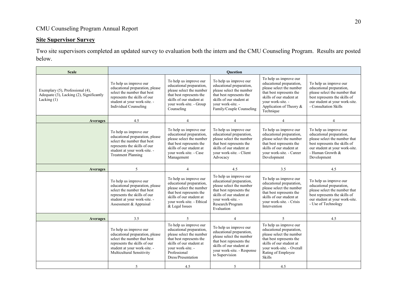## <span id="page-19-0"></span>**Site Supervisor Survey**

Two site supervisors completed an updated survey to evaluation both the intern and the CMU Counseling Program. Results are posted below.

| <b>Scale</b>                                                                                  |                                                                                                                                                                                                                                                                                                                                                                                                      |                                                                                                                                                                                                   | <b>Ouestion</b>                                                                                                                                                                               |                                                                                                                                                                                                            |                                                                                                                                                                                           |
|-----------------------------------------------------------------------------------------------|------------------------------------------------------------------------------------------------------------------------------------------------------------------------------------------------------------------------------------------------------------------------------------------------------------------------------------------------------------------------------------------------------|---------------------------------------------------------------------------------------------------------------------------------------------------------------------------------------------------|-----------------------------------------------------------------------------------------------------------------------------------------------------------------------------------------------|------------------------------------------------------------------------------------------------------------------------------------------------------------------------------------------------------------|-------------------------------------------------------------------------------------------------------------------------------------------------------------------------------------------|
| Exemplary (5), Professional (4),<br>Adequate (3), Lacking (2), Significantly<br>Lacking $(1)$ | To help us improve our<br>To help us improve our<br>educational preparation,<br>educational preparation, please<br>please select the number<br>select the number that best<br>that best represents the<br>represents the skills of our<br>skills of our student at<br>student at your work-site. -<br>your work-site. - Group<br><b>Individual Counseling</b><br>Counseling<br>4.5<br>$\overline{4}$ |                                                                                                                                                                                                   | To help us improve our<br>educational preparation,<br>please select the number<br>that best represents the<br>skills of our student at<br>your work-site. -<br>Family/Couple Counseling       | To help us improve our<br>educational preparation,<br>please select the number<br>that best represents the<br>skills of our student at<br>vour work-site. -<br>Application of Theory &<br>Technique        | To help us improve our<br>educational preparation,<br>please select the number that<br>best represents the skills of<br>our student at your work-site.<br>- Consultation Skills           |
| <b>Averages</b>                                                                               |                                                                                                                                                                                                                                                                                                                                                                                                      |                                                                                                                                                                                                   | $\overline{4}$                                                                                                                                                                                | $\overline{4}$                                                                                                                                                                                             | $\overline{4}$                                                                                                                                                                            |
|                                                                                               | To help us improve our<br>educational preparation, please<br>select the number that best<br>represents the skills of our<br>student at your work-site. -<br><b>Treatment Planning</b>                                                                                                                                                                                                                | To help us improve our<br>educational preparation,<br>please select the number<br>that best represents the<br>skills of our student at<br>vour work-site. - Case<br>Management                    | To help us improve our<br>educational preparation,<br>please select the number<br>that best represents the<br>skills of our student at<br>vour work-site. - Client<br>Advocacy                | To help us improve our<br>educational preparation,<br>please select the number<br>that best represents the<br>skills of our student at<br>vour work-site. - Career<br>Development                          | To help us improve our<br>educational preparation,<br>please select the number that<br>best represents the skills of<br>our student at your work-site.<br>- Human Growth &<br>Development |
| <b>Averages</b>                                                                               | 5                                                                                                                                                                                                                                                                                                                                                                                                    | $\overline{4}$                                                                                                                                                                                    | 4.5                                                                                                                                                                                           | 3.5                                                                                                                                                                                                        | 4.5                                                                                                                                                                                       |
|                                                                                               | To help us improve our<br>educational preparation, please<br>select the number that best<br>represents the skills of our<br>student at your work-site. -<br>Assessment & Appraisal                                                                                                                                                                                                                   | To help us improve our<br>educational preparation,<br>please select the number<br>that best represents the<br>skills of our student at<br>your work-site. - Ethical<br>& Legal Issues             | To help us improve our<br>educational preparation,<br>please select the number<br>that best represents the<br>skills of our student at<br>your work-site. -<br>Research/Program<br>Evaluation | To help us improve our<br>educational preparation,<br>please select the number<br>that best represents the<br>skills of our student at<br>your work-site. - Crisis<br>Intervention                         | To help us improve our<br>educational preparation,<br>please select the number that<br>best represents the skills of<br>our student at your work-site.<br>- Use of Technology             |
| <b>Averages</b>                                                                               | 3.5                                                                                                                                                                                                                                                                                                                                                                                                  | 5                                                                                                                                                                                                 | $\overline{4}$                                                                                                                                                                                | 5                                                                                                                                                                                                          | 4.5                                                                                                                                                                                       |
|                                                                                               | To help us improve our<br>educational preparation, please<br>select the number that best<br>represents the skills of our<br>student at your work-site. -<br>Multicultural Sensitivity                                                                                                                                                                                                                | To help us improve our<br>educational preparation,<br>please select the number<br>that best represents the<br>skills of our student at<br>vour work-site. -<br>Professional<br>Dress/Presentation | To help us improve our<br>educational preparation,<br>please select the number<br>that best represents the<br>skills of our student at<br>your work-site. - Response<br>to Supervision        | To help us improve our<br>educational preparation,<br>please select the number<br>that best represents the<br>skills of our student at<br>your work-site. - Overall<br>Rating of Employee<br><b>Skills</b> |                                                                                                                                                                                           |
|                                                                                               | 5                                                                                                                                                                                                                                                                                                                                                                                                    | 4.5                                                                                                                                                                                               | 5                                                                                                                                                                                             | 4.5                                                                                                                                                                                                        |                                                                                                                                                                                           |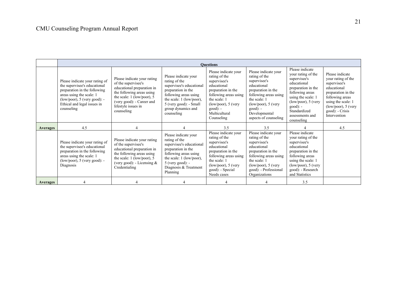|                 |                                                                                                                                                                                                            |                                                                                                                                                                                                               |                                                                                                                                                                                                            | <b>Ouestions</b>                                                                                                                                                                                           |                                                                                                                                                                                                                       |                                                                                                                                                                                                                              |                                                                                                                                                                                                  |
|-----------------|------------------------------------------------------------------------------------------------------------------------------------------------------------------------------------------------------------|---------------------------------------------------------------------------------------------------------------------------------------------------------------------------------------------------------------|------------------------------------------------------------------------------------------------------------------------------------------------------------------------------------------------------------|------------------------------------------------------------------------------------------------------------------------------------------------------------------------------------------------------------|-----------------------------------------------------------------------------------------------------------------------------------------------------------------------------------------------------------------------|------------------------------------------------------------------------------------------------------------------------------------------------------------------------------------------------------------------------------|--------------------------------------------------------------------------------------------------------------------------------------------------------------------------------------------------|
|                 | Please indicate your rating of<br>the supervisee's educational<br>preparation in the following<br>areas using the scale: 1<br>$(low/poor)$ , 5 (very good): -<br>Ethical and legal issues in<br>counseling | Please indicate your rating<br>of the supervisee's<br>educational preparation in<br>the following areas using<br>the scale: 1 (low/poor), 5<br>(very good): - Career and<br>lifestyle issues in<br>counseling | Please indicate your<br>rating of the<br>supervisee's educational<br>preparation in the<br>following areas using<br>the scale: 1 (low/poor),<br>5 (very good): - Small<br>group dynamics and<br>counseling | Please indicate your<br>rating of the<br>supervisee's<br>educational<br>preparation in the<br>following areas using<br>the scale: 1<br>$(low/poor)$ , 5 (very<br>$good): -$<br>Multicultural<br>Counseling | Please indicate your<br>rating of the<br>supervisee's<br>educational<br>preparation in the<br>following areas using<br>the scale: 1<br>$(low/poor)$ , 5 (very<br>$good): -$<br>Developmental<br>aspects of counseling | Please indicate<br>your rating of the<br>supervisee's<br>educational<br>preparation in the<br>following areas<br>using the scale: 1<br>$(low/poor)$ , 5 (very<br>$good): -$<br>Standardized<br>assessments and<br>counseling | Please indicate<br>your rating of the<br>supervisee's<br>educational<br>preparation in the<br>following areas<br>using the scale: 1<br>$(low/poor)$ , 5 (very<br>good): - Crisis<br>Intervention |
| <b>Averages</b> | 4.5                                                                                                                                                                                                        |                                                                                                                                                                                                               |                                                                                                                                                                                                            | 3.5                                                                                                                                                                                                        | 3.5                                                                                                                                                                                                                   |                                                                                                                                                                                                                              | 4.5                                                                                                                                                                                              |
|                 | Please indicate your rating of<br>the supervisee's educational<br>preparation in the following<br>areas using the scale: 1<br>$(low/poor)$ , 5 (very good): -<br>Diagnosis                                 | Please indicate your rating<br>of the supervisee's<br>educational preparation in<br>the following areas using<br>the scale: $1$ (low/poor), $5$<br>(very good): - Licensing $&$<br>Credentialing              | Please indicate your<br>rating of the<br>supervisee's educational<br>preparation in the<br>following areas using<br>the scale: 1 (low/poor),<br>$5$ (very good): -<br>Diagnosis & Treatment<br>Planning    | Please indicate your<br>rating of the<br>supervisee's<br>educational<br>preparation in the<br>following areas using<br>the scale: 1<br>$(low/poor)$ , 5 (very<br>good): - Special<br>Needs cases           | Please indicate your<br>rating of the<br>supervisee's<br>educational<br>preparation in the<br>following areas using<br>the scale: 1<br>$(low/poor)$ , 5 (very<br>good): - Professional<br>Organizations               | Please indicate<br>your rating of the<br>supervisee's<br>educational<br>preparation in the<br>following areas<br>using the scale: 1<br>$(low/poor)$ , 5 (very<br>good): - Research<br>and Statistics                         |                                                                                                                                                                                                  |
| Averages        |                                                                                                                                                                                                            |                                                                                                                                                                                                               |                                                                                                                                                                                                            |                                                                                                                                                                                                            |                                                                                                                                                                                                                       | 3.5                                                                                                                                                                                                                          |                                                                                                                                                                                                  |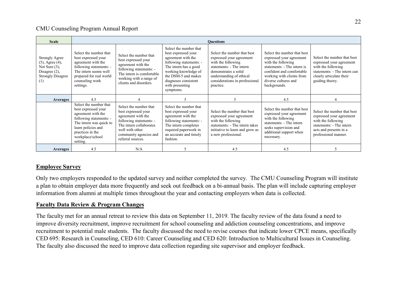| <b>Scale</b>                                                                                                              |                                                                                                                                                                                                     |                                                                                                                                                                                             |                                                                                                                                                                                       | <b>Ouestions</b>                                                                                                                                                                                             |                                                                                                                                                                                                                |                                                                                                                                                              |
|---------------------------------------------------------------------------------------------------------------------------|-----------------------------------------------------------------------------------------------------------------------------------------------------------------------------------------------------|---------------------------------------------------------------------------------------------------------------------------------------------------------------------------------------------|---------------------------------------------------------------------------------------------------------------------------------------------------------------------------------------|--------------------------------------------------------------------------------------------------------------------------------------------------------------------------------------------------------------|----------------------------------------------------------------------------------------------------------------------------------------------------------------------------------------------------------------|--------------------------------------------------------------------------------------------------------------------------------------------------------------|
| <b>Strongly Agree</b><br>$(5)$ , Agree $(4)$ ,<br>Not Sure $(3)$ ,<br>Disagree $(2)$ ,<br><b>Strongly Disagree</b><br>(1) | Select the number that<br>best expressed your<br>agreement with the<br>following statements: -<br>The intern seems well<br>prepared for real world<br>counseling work<br>settings.                  | Select the number that<br>best expressed your<br>agreement with the<br>following statements: -<br>The intern is comfortable<br>working with a range of<br>clients and disorders.            |                                                                                                                                                                                       | Select the number that best<br>expressed your agreement<br>with the following<br>statements: - The intern<br>demonstrates a solid<br>understanding of ethical<br>considerations in professional<br>practice. | Select the number that best<br>expressed your agreement<br>with the following<br>statements: - The intern is<br>confident and comfortable<br>working with clients from<br>diverse cultures and<br>backgrounds. | Select the number that best<br>expressed your agreement<br>with the following<br>statements: - The intern can<br>clearly articulate their<br>guiding theory. |
| Averages                                                                                                                  | 4.5                                                                                                                                                                                                 |                                                                                                                                                                                             |                                                                                                                                                                                       |                                                                                                                                                                                                              | 4.5                                                                                                                                                                                                            |                                                                                                                                                              |
|                                                                                                                           | Select the number that<br>best expressed your<br>agreement with the<br>following statements: -<br>The intern was quick to<br>learn policies and<br>practices in the<br>workplace/school<br>setting. | Select the number that<br>best expressed your<br>agreement with the<br>following statements: -<br>The intern collaborates<br>well with other<br>community agencies and<br>referral sources. | Select the number that<br>best expressed your<br>agreement with the<br>following statements: -<br>The intern completes<br>required paperwork in<br>an accurate and timely<br>fashion. | Select the number that best<br>expressed your agreement<br>with the following<br>statements: - The intern takes<br>initiative to learn and grow as<br>a new professional.                                    | Select the number that best<br>expressed your agreement<br>with the following<br>statements: - The intern<br>seeks supervision and<br>additional support when<br>necessary.                                    | Select the number that best<br>expressed your agreement<br>with the following<br>statements: - The intern<br>acts and presents in a<br>professional manner.  |
| <b>Averages</b>                                                                                                           | 4.5                                                                                                                                                                                                 | N/A                                                                                                                                                                                         |                                                                                                                                                                                       | 4.5                                                                                                                                                                                                          | 4.5                                                                                                                                                                                                            |                                                                                                                                                              |

## <span id="page-21-0"></span>**Employee Survey**

Only two employers responded to the updated survey and neither completed the survey. The CMU Counseling Program will institute a plan to obtain employer data more frequently and seek out feedback on a bi-annual basis. The plan will include capturing employer information from alumni at multiple times throughout the year and contacting employers when data is collected.

## <span id="page-21-1"></span>**Faculty Data Review & Program Changes**

The faculty met for an annual retreat to review this data on September 11, 2019. The faculty review of the data found a need to improve diversity recruitment, improve recruitment for school counseling and addiction counseling concentrations, and improve recruitment to potential male students. The faculty discussed the need to revise courses that indicate lower CPCE means, specifically CED 695: Research in Counseling, CED 610: Career Counseling and CED 620: Introduction to Multicultural Issues in Counseling. The faculty also discussed the need to improve data collection regarding site supervisor and employer feedback.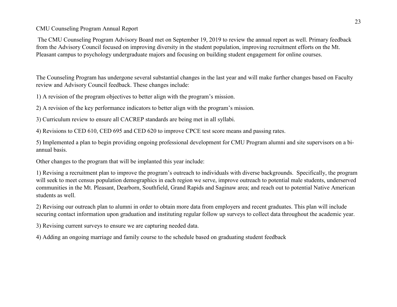The CMU Counseling Program Advisory Board met on September 19, 2019 to review the annual report as well. Primary feedback from the Advisory Council focused on improving diversity in the student population, improving recruitment efforts on the Mt. Pleasant campus to psychology undergraduate majors and focusing on building student engagement for online courses.

The Counseling Program has undergone several substantial changes in the last year and will make further changes based on Faculty review and Advisory Council feedback. These changes include:

1) A revision of the program objectives to better align with the program's mission.

2) A revision of the key performance indicators to better align with the program's mission.

3) Curriculum review to ensure all CACREP standards are being met in all syllabi.

4) Revisions to CED 610, CED 695 and CED 620 to improve CPCE test score means and passing rates.

5) Implemented a plan to begin providing ongoing professional development for CMU Program alumni and site supervisors on a biannual basis.

Other changes to the program that will be implanted this year include:

1) Revising a recruitment plan to improve the program's outreach to individuals with diverse backgrounds. Specifically, the program will seek to meet census population demographics in each region we serve, improve outreach to potential male students, underserved communities in the Mt. Pleasant, Dearborn, Southfield, Grand Rapids and Saginaw area; and reach out to potential Native American students as well.

2) Revising our outreach plan to alumni in order to obtain more data from employers and recent graduates. This plan will include securing contact information upon graduation and instituting regular follow up surveys to collect data throughout the academic year.

3) Revising current surveys to ensure we are capturing needed data.

4) Adding an ongoing marriage and family course to the schedule based on graduating student feedback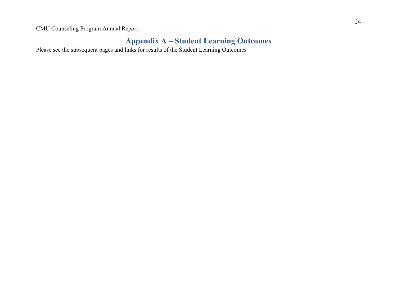# **Appendix A – Student Learning Outcomes**

<span id="page-23-0"></span>Please see the subsequent pages and links for results of the Student Learning Outcomes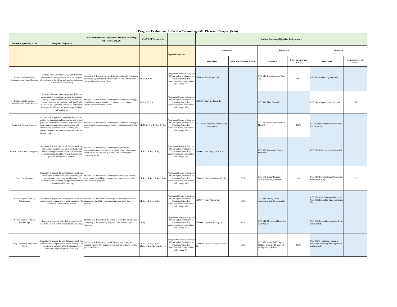#### **Program Evaluation: Addiction Counseling - Mt. Pleasant Campus (N=6)**

<span id="page-24-0"></span>

| <b>Domain/Specialty Area</b>                                | <b>Program Objective</b>                                                                                                                                                                                                                                                                                                                 | Key Performance Indicators: Student Learning<br>Objectives (SLO)                                                                                                                                                                              | <b>CACREP Standards</b>                                          |                                                                                                                                              |                                               |                                | <b>Student Learning Objective Assignments</b>                                           |                                   |                                                                                              |                                   |
|-------------------------------------------------------------|------------------------------------------------------------------------------------------------------------------------------------------------------------------------------------------------------------------------------------------------------------------------------------------------------------------------------------------|-----------------------------------------------------------------------------------------------------------------------------------------------------------------------------------------------------------------------------------------------|------------------------------------------------------------------|----------------------------------------------------------------------------------------------------------------------------------------------|-----------------------------------------------|--------------------------------|-----------------------------------------------------------------------------------------|-----------------------------------|----------------------------------------------------------------------------------------------|-----------------------------------|
|                                                             |                                                                                                                                                                                                                                                                                                                                          |                                                                                                                                                                                                                                               |                                                                  | <b>Expected Outcomes</b>                                                                                                                     | Introduced                                    |                                | Reinforced                                                                              |                                   | Mastered                                                                                     |                                   |
|                                                             |                                                                                                                                                                                                                                                                                                                                          |                                                                                                                                                                                                                                               |                                                                  |                                                                                                                                              | Assignment                                    | <b>Outcome (Average Score)</b> | Assignment                                                                              | <b>Outcome</b> (Average<br>Score) | Assignment                                                                                   | <b>Outcome</b> (Average<br>Score) |
| Professional Counseling<br>Orientation and Ethical Practice | Students will acquire knowledge and skills that<br>demonstrate a comprehensive understanding and<br>ability to apply the ethical and legal considerations<br>in professional counseling                                                                                                                                                  | Students will demonstrate knowledge of and the ability to apply<br>ethical and legal standards of informed consent, duty to warn<br>and working with altered clients.                                                                         | 2.F.1.i; 5.A.2.1                                                 | Assignment Scores will average<br>85% or higher; Evaluation on<br>Practicum/Internship<br>valuations based on standards<br>will average 85%  | ED 630: Ethics Paper (K)                      |                                | CED 641: Comprehensive Paper<br>(K)                                                     | 90%                               | CED 690: Conducting intake (S)                                                               |                                   |
| Professional Counseling<br>Orientation and Ethical Practice | Students will acquire knowledge and skills that<br>demonstrate a comprehensive understanding and<br>ability to implement the roles and function of<br>counselors across all specialties and specifically<br>the Addiction Counseling Profession; and identify<br>strategies for self care, personal and professional<br>self evaluation. | Students will demonstrate knowledge of and the ability to apply<br>the different roles of an addiction counselor, including the<br>various treatment setting options.                                                                         | 5.A.2.a: 2.F.1.b                                                 | Assignment Scores will average<br>85% or higher; Evaluation on<br>Practicum/Internship<br>evaluations based on standards<br>will average 85% | CED 630: Interview Paper (K)                  |                                | CED 630: Final Exam (K)                                                                 |                                   | CED 641: Comprehensive Paper (K)                                                             | 90%                               |
| Social and Cultural Diversity                               | Students will acquire the knowledge and skills to<br>explore the impact of multiculturalism and cultural<br>justice practices in models, competencies, and<br>identity development in order to identify and<br>understand power and oppression as obstacles in a<br>diverse society.                                                     | luralism on client and counselor and utilize social Students will demonstrate knowledge of and the ability to apply<br>multicultural competnencies and theory to client mental health<br>ieeds.                                               | 2.F.2.b;2.F.2.c; 2.F.2.e; 2.F.2.h                                | Assignment Scores will average<br>85% or higher; Evaluation on<br>Practicum/Internship<br>valuations based on standards<br>will average 85%  | CED 620: Community Impact Group<br>Assignment |                                | CED 650: Diversity Group Role<br>Play(S)                                                | 100%                              | CED 691: Internship Supervisor Final<br>Evaluation (S)                                       |                                   |
| Human Growth and Development                                | Students will acquire the knowledge and skills that<br>demonstrate a comprehensive understanding of<br>human development theories across the lifespan<br>and demonstrate the ability to use these skills to<br>promote resilience and wellness.                                                                                          | Students will demonstrate knowledge of psychosocial<br>development stages and how these stages impact other mental<br>health issues; and the ability to apply this knowledge in a<br>counseling setting.                                      | 2.F.3.a: 2.F.3.e: 2.F.3.g                                        | Assignment Scores will average<br>85% or higher; Evaluation on<br>Practicum/Internship<br>evaluations based on standard<br>will average 85%  | CED 665: case study quiz 1 (K)                |                                | CED 665: Comparing Stages<br>Project (K)                                                |                                   | CED 691: Case conceptualization (S)                                                          |                                   |
| Career Development                                          | Students will acquire the knowledge and skills that<br>culturally competent career development and<br>assessment; and the ability to apply these skills to develop career programs.<br>assessment and counseling                                                                                                                         | demonstrate a comprehensive understanding of Students will demonstrate knowledge of career development<br>theories and the abiility to analyze career assessments and                                                                         | 2.F.4.a; 2.F.4.c; 2.F.4.e; 2.F.4.f                               | Assignment Scores will average<br>85% or higher: Evaluation on<br>Practicum/Internship<br>evaluations based on standards<br>will average 85% | ED 610: Discussion Board #1 (K)               | 99%                            | CED 610: Career Program<br>development assignment (K)                                   | 99%                               | CED 610: Personal Career Counseling<br>Portfolio (K & S)                                     | 91%                               |
| Counseling and Helping<br>Relationships                     | counseling and consulting process.                                                                                                                                                                                                                                                                                                       | Students will acquire the knowledge and skills that Students will demonsrate knowledge of counseling theory and<br>demonstrate a comprehensive understanding of the demonstrate the ability to conceptualize and apply theory to<br>practice. | 2.F.5.a; 2.F.5.g; 5.A.1.b                                        | Assignment Scores will average<br>85% or higher; Evaluation on<br>Practicum/Internship<br>evaluations based on standards<br>will average 85% | CED 677: Theory Paper (K)                     | 93%                            | CED 644: Theory Group<br>presentation and Discussion (K)                                |                                   | CED 691: Case Conceptualization (S)<br>CED 691: Internship Final Evaluation                  |                                   |
| Counseling and Helping<br>Relationships                     | Students will acquire skills that demonstrate the<br>ability to conduct culturally competent counseling.                                                                                                                                                                                                                                 | Students will demonstrate the ability to accurately perform basic<br>counseling skills; including empathy, reflection and open<br>uestions.                                                                                                   | 2.F.5.g.                                                         | Assignment Scores will average<br>85% or higher; Evaluation on<br>Practicum/Internship<br>valuations based on standard<br>will average 85%   | CED 660: Dyadic Role Play (S)                 | 83%                            | CED 644: Motivational Interview<br>Role Play (S)                                        |                                   | CED 691: Internship supervisor Final<br>evaluation (S)                                       |                                   |
| Group Counseling and Group<br>Work                          | Students will acquire the knowledge and skills that<br>demonstrate a comprehensive understanding of the<br>theories and experiential skills of conducting<br>culturally competent group counseling.                                                                                                                                      | Students will demonstrate knowledge of group theory; the<br>required steps to developing a group, and the ability to conduct<br>roup counseling.                                                                                              | 2.F.6.a; 2.F.6.c; 2.F.6.d;<br>2.F.6.e; 2.F.6.f; 2.F.6.g; 2.F.6.h | Assignment Scores will average<br>85% or higher; Evaluation on<br>Practicum/Internship<br>valuations based on standards<br>will average 85%  | ED 650: Group Counseling Proposal<br>K)       | 93%                            | CED 650: Group Role Play (S)<br>Students complete 10 hours of<br>small group experience | 100%                              | CED 690/1: Facilitating Group at<br>Practicum/ Internship Site -supervisor<br>evaluation (S) |                                   |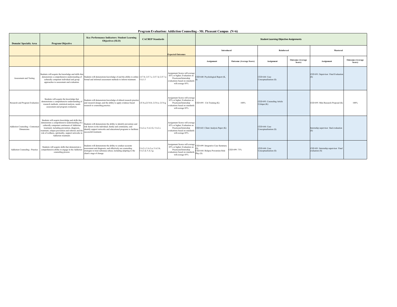| Program Evaluation: Addiction Counseling - Mt. Pleasant Campus (N=6) |  |  |  |
|----------------------------------------------------------------------|--|--|--|
|                                                                      |  |  |  |

| <b>Domain/Specialty Area</b>                   | <b>Program Objective</b>                                                                                                                                                                                                                                                                                                              | Key Performance Indicators: Student Learning<br>Objectives (SLO)                                                                                                                                                           | <b>CACREP</b> Standards                         |                                                                                                                                                | <b>Student Learning Objective Assignments</b>                                    |                                |                                             |                                   |                                                        |                                   |  |
|------------------------------------------------|---------------------------------------------------------------------------------------------------------------------------------------------------------------------------------------------------------------------------------------------------------------------------------------------------------------------------------------|----------------------------------------------------------------------------------------------------------------------------------------------------------------------------------------------------------------------------|-------------------------------------------------|------------------------------------------------------------------------------------------------------------------------------------------------|----------------------------------------------------------------------------------|--------------------------------|---------------------------------------------|-----------------------------------|--------------------------------------------------------|-----------------------------------|--|
|                                                |                                                                                                                                                                                                                                                                                                                                       |                                                                                                                                                                                                                            |                                                 | <b>Expected Outcomes</b>                                                                                                                       | <b>Introduced</b>                                                                |                                | <b>Reinforced</b>                           |                                   | Mastered                                               |                                   |  |
|                                                |                                                                                                                                                                                                                                                                                                                                       |                                                                                                                                                                                                                            |                                                 |                                                                                                                                                | Assignment                                                                       | <b>Outcome (Average Score)</b> | Assignment                                  | <b>Outcome</b> (Average<br>Score) | Assignment                                             | <b>Outcome</b> (Average<br>Score) |  |
| Assessment and Testing                         | Students will acquire the knowledge and skills that<br>demonstrate a comprehensive understanding of<br>culturally competent individual and group<br>approaches to assessment and evaluation.                                                                                                                                          | Students will demonstrate knowledge of and the ability to utilize 2.f.7.b; 2.F.7.c; 2.F.7.d; 2.F.7.e<br>formal and informal assessment methods to inform treatment.                                                        | 5.A.1.f                                         | Assignment Scores will average<br>85% or higher; Evaluation on<br>Practicum/Internship<br>evaluations based on standards S<br>will average 85% | CED 640: Psychological Report (K,                                                |                                | CED 644: Case<br>Conceptualization (S)      |                                   | CED 691: Supervisor Final Evaluation                   |                                   |  |
| Research and Program Evaluation                | Students will acquire the knowledge that<br>demonstrates a comprehensive understanding of<br>research methods, statistical analysis, needs<br>assessment and program evaluation.                                                                                                                                                      | Students will demonstrate knowledge of ethical research practice<br>and research design; and the ability to apply evidence based<br>research to counseling practice.                                                       | 2.F.8.a;2.F.8.b; 2.F.8.e; 2.F.8.g               | Assignment Scores will average<br>85% or higher: Evaluation on<br>Practicum/Internship<br>evaluations based on standards<br>will average 85%   | CED 695: Citi Training (K)                                                       | 100%                           | CED 695: Counseling Article<br>Critique (K) |                                   | CED 695: Mini Research Proposal (K)                    | 100%                              |  |
| Addiction Counseling - Contextua<br>Dimensions | Students will acquire knowledge and skills that<br>demonstrate a comprehensive understanding of a<br>culturally competent continuum of Addiction<br>treatment: including prevention, diagnosis,<br>treatment, relapse prevention and referral; and the<br>role of wellness, spirituality, support networks in<br>Addiction treatment. | Students will demonstrate the ability to identify prevention and<br>risk factors in the individual, family and community; and<br>identify support networks and educational programs to facilitate<br>successful treatment. | 5.A.2.e; 5.A.2.G, 5.A.2.c                       | Assignment Scores will average<br>85% or higher: Evaluation on<br>Practicum/Internship<br>evaluations based on standards<br>will average 85%   | CED 643: Client Analysis Paper (K)                                               |                                | CED 644: Case<br>Conceptualization (S)      |                                   | Internship supervisor final evaluation                 |                                   |  |
| Addiction Counseling - Practice                | Students will acquire skills that demonstrate a<br>comprehensive ability to engage in the Addiction<br>counseling process                                                                                                                                                                                                             | Students will demonstrate the ability to conduct accurate<br>assessment and diagnosis; and effectively use counseling<br>strategies to treat substance abuse; including adapting to the<br>client's stage of change.       | 5.A.2.i; 5.A.3.a; 5.A.3.b;<br>5.A.3.d; 5.A.3.g; | Assignment Scores will average<br>85% or higher; Evaluation on<br>Practicum/Internship<br>evaluations based on standards<br>will average 85%   | CED 699: Integrative Case Summary<br>CED 644: Relapse Prevention Role<br>Play(S) | CED 699: 73%                   | CED 644: Case<br>Conceptualization (S)      |                                   | CED 691: Internship supervisor Final<br>evaluation (S) |                                   |  |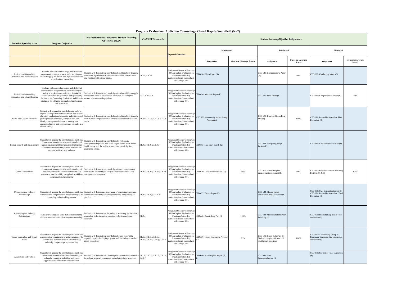#### **Program Evaluation: Addiction Counseling - Grand Rapids/Southfield (N=2)**

<span id="page-26-0"></span>

| <b>Domain/Specialty Area</b>                                | <b>Program Objective</b>                                                                                                                                                                                                                                                                                                                 | Key Performance Indicators: Student Learning<br>Objectives (SLO)                                                                                                                                                                          | <b>CACREP Standards</b>                                          |                                                                                                                                              |                                               |                                | <b>Student Learning Objective Assignments</b>                                           |                                   |                                                                                               |                                   |
|-------------------------------------------------------------|------------------------------------------------------------------------------------------------------------------------------------------------------------------------------------------------------------------------------------------------------------------------------------------------------------------------------------------|-------------------------------------------------------------------------------------------------------------------------------------------------------------------------------------------------------------------------------------------|------------------------------------------------------------------|----------------------------------------------------------------------------------------------------------------------------------------------|-----------------------------------------------|--------------------------------|-----------------------------------------------------------------------------------------|-----------------------------------|-----------------------------------------------------------------------------------------------|-----------------------------------|
|                                                             |                                                                                                                                                                                                                                                                                                                                          |                                                                                                                                                                                                                                           |                                                                  | <b>Expected Outcomes</b>                                                                                                                     | <b>Introduced</b>                             |                                | Reinforced                                                                              |                                   | Mastered                                                                                      |                                   |
|                                                             |                                                                                                                                                                                                                                                                                                                                          |                                                                                                                                                                                                                                           |                                                                  |                                                                                                                                              | Assignment                                    | <b>Outcome</b> (Average Score) | Assignment                                                                              | <b>Outcome</b> (Average<br>Score) | Assignment                                                                                    | <b>Outcome</b> (Average<br>Score) |
| Professional Counseling<br>Orientation and Ethical Practice | Students will acquire knowledge and skills that<br>demonstrate a comprehensive understanding and<br>ability to apply the ethical and legal considerations<br>in professional counseling                                                                                                                                                  | students will demonstrate knowledge of and the ability to apply<br>ethical and legal standards of informed consent, duty to warn<br>and working with altered clients.                                                                     | 2.F.1.i; 5.A.2.1                                                 | Assignment Scores will average<br>85% or higher; Evaluation on<br>Practicum/Internship<br>valuations based on standard<br>will average 85%   | CED 630: Ethics Paper (K)                     |                                | CED 641: Comprehensive Paper<br>(K)                                                     | 90%                               | CED 690: Conducting intake (S)                                                                |                                   |
| Professional Counseling<br>Orientation and Ethical Practice | Students will acquire knowledge and skills that<br>demonstrate a comprehensive understanding and<br>ability to implement the roles and function of<br>counselors across all specialties and specifically<br>the Addiction Counseling Profession; and identify<br>strategies for self care, personal and professional<br>self evaluation  | Students will demonstrate knowledge of and the ability to apply<br>the different roles of an addiction counselor, including the<br>various treatment setting options.                                                                     | 5.A.2.a; 2.F.1.b                                                 | Assignment Scores will average<br>85% or higher; Evaluation on<br>Practicum/Internship<br>valuations based on standards<br>will average 85%  | ED 630: Interview Paper (K)                   |                                | CED 630: Final Exam (K)                                                                 |                                   | CED 641: Comprehensive Paper (K)                                                              | 90%                               |
| Social and Cultural Diversity                               | Students will acquire the knowledge and skills to<br>explore the impact of multiculturalism and cultural<br>luralism on client and counselor and utilize social<br>ustice practices in models, competencies, and<br>dentity development in order to identify and<br>inderstand power and oppression as obstacles in a<br>diverse society | Students will demonstrate knowledge of and the ability to apply<br>multicultural competnencies and theory to client mental health<br>needs.                                                                                               | 2.F.2.b;2.F.2.c; 2.F.2.e; 2.F.2.h                                | Assignment Scores will average<br>85% or higher; Evaluation on<br>Practicum/Internship<br>valuations based on standards<br>will average 85%  | CED 620: Community Impact Group<br>Assignment |                                | CED 650: Diversity Group Role<br>Play(S)                                                | 100%                              | CED 691: Internship Supervisor Final<br>Evaluation (S)                                        |                                   |
| Human Growth and Development                                | Students will acquire the knowledge and skills tha<br>demonstrate a comprehensive understanding of<br>human development theories across the lifespan<br>and demonstrate the ability to use these skills to<br>promote resilience and wellness.                                                                                           | Students will demonstrate knowledge of psychosocial<br>levelopment stages and how these stages impact other mental<br>health issues; and the ability to apply this knowledge in a<br>ounseling setting.                                   | 2.F.3.a; 2.F.3.e; 2.F.3.g                                        | Assignment Scores will average<br>85% or higher; Evaluation on<br>Practicum/Internship<br>evaluations based on standards<br>will average 85% | CED 665: case study quiz 1 (K)                |                                | CED 665: Comparing Stages<br>Project (K)                                                |                                   | CED 691: Case conceptualization (S)                                                           |                                   |
| Career Development                                          | Students will acquire the knowledge and skills that<br>demonstrate a comprehensive understanding of<br>culturally competent career development and<br>assessment; and the ability to apply these skills to develop career programs.<br>assessment and counseling                                                                         | Students will demonstrate knowledge of career development<br>theories and the abiility to analyze career assessments and                                                                                                                  | 2.F.4.a; 2.F.4.c; 2.F.4.e; 2.F.4.f                               | Assignment Scores will average<br>85% or higher; Evaluation on<br>Practicum/Internship<br>evaluations based on standards<br>will average 85% | ED 610: Discussion Board #1 (K)               | 99%                            | CED 610: Career Program<br>development assignment (K)                                   | 99%                               | CED 610: Personal Career Counseling<br>Portfolio (K & S)                                      | 91%                               |
| Counseling and Helping<br>Relationships                     | counseling and consulting process.                                                                                                                                                                                                                                                                                                       | Students will acquire the knowledge and skills that Students will demonsrate knowledge of counseling theory and<br>nstrate a comprehensive understanding of the demonstrate the ability to conceptualize and apply theory to<br>practice. | 2.F.5.a; 2.F.5.g; 5.A.1.b                                        | Assignment Scores will average<br>85% or higher; Evaluation on<br>Practicum/Internship<br>evaluations based on standards<br>will average 85% | CED 677: Theory Paper (K)                     |                                | CED 644: Theory Group<br>presentation and Discussion (K)                                |                                   | CED 691: Case Conceptualization (S)<br>CED 691: Internship Supervisor Final<br>Evaluation (S) |                                   |
| Counseling and Helping<br>Relationships                     | Students will acquire skills that demonstrate the<br>ability to conduct culturally competent counseling.                                                                                                                                                                                                                                 | tudents will demonstrate the ability to accurately perform basis<br>counseling skills; including empathy, reflection and open<br>mestions.                                                                                                | 2.F.5.g.                                                         | Assignment Scores will average<br>85% or higher; Evaluation on<br>Practicum/Internship<br>evaluations based on standard<br>will average 85%  | ED 660: Dyadic Role Play (S)                  | 100%                           | CED 644: Motivational Interview<br>Role Play (S)                                        |                                   | CED 691: Internship supervisor Final<br>evaluation (S)                                        |                                   |
| Group Counseling and Group<br>Work                          | Students will acquire the knowledge and skills that<br>monstrate a comprehensive understanding of the<br>theories and experiential skills of conducting<br>culturally competent group counseling.                                                                                                                                        | Students will demonstrate knowledge of group theory; the<br>required steps to developing a group, and the ability to conduct<br>roup counseling.                                                                                          | 2.F.6.a: 2.F.6.c: 2.F.6.d:<br>2.F.6.e; 2.F.6.f; 2.F.6.g; 2.F.6.h | Assignment Scores will average<br>85% or higher; Evaluation on<br>Practicum/Internship<br>evaluations based on standard<br>will average 85%  | ED 650: Group Counseling Proposa              | 95%                            | CED 650: Group Role Play (S)<br>Students complete 10 hours of<br>small group experience | 100%                              | CED 690/1: Facilitating Group at<br>Practicum/ Internship Site -supervisor<br>valuation (S)   |                                   |
| Assessment and Testing                                      | Students will acquire the knowledge and skills tha<br>demonstrate a comprehensive understanding of<br>culturally competent individual and group<br>approaches to assessment and evaluation.                                                                                                                                              | Students will demonstrate knowledge of and the ability to utilize 2.f.7.b; 2.F.7.c; 2.F.7.d; 2.F.7.e;<br>formal and informal assessment methods to inform treatment.                                                                      | 5.A.1.f                                                          | Assignment Scores will average<br>85% or higher; Evaluation on<br>Practicum/Internship<br>evaluations based on standards<br>will average 85% | ED 640: Psychological Report (K,              |                                | CED 644: Case<br>Conceptualization (S)                                                  |                                   | CED 691: Supervisor Final Evaluation<br>(S)                                                   |                                   |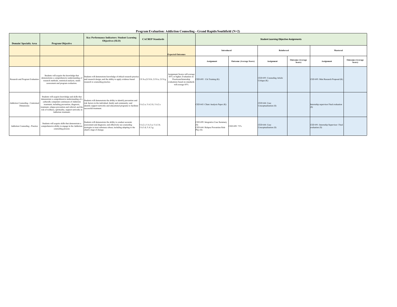|                                               |                                                                                                                                                                                                                                 | Key Performance Indicators: Student Learning                                                                                                                                                                                                                                                                                      |                                                 |                                                                                                                                              |                                                                                  |                         |                                             |                                   |                                                        |                            |  |
|-----------------------------------------------|---------------------------------------------------------------------------------------------------------------------------------------------------------------------------------------------------------------------------------|-----------------------------------------------------------------------------------------------------------------------------------------------------------------------------------------------------------------------------------------------------------------------------------------------------------------------------------|-------------------------------------------------|----------------------------------------------------------------------------------------------------------------------------------------------|----------------------------------------------------------------------------------|-------------------------|---------------------------------------------|-----------------------------------|--------------------------------------------------------|----------------------------|--|
| <b>Domain/Specialty Area</b>                  | <b>Program Objective</b>                                                                                                                                                                                                        | <b>Objectives (SLO)</b>                                                                                                                                                                                                                                                                                                           | <b>CACREP</b> Standards                         |                                                                                                                                              | <b>Student Learning Objective Assignments</b>                                    |                         |                                             |                                   |                                                        |                            |  |
|                                               |                                                                                                                                                                                                                                 |                                                                                                                                                                                                                                                                                                                                   |                                                 | Reinforced<br>Introduced<br><b>Expected Outcomes</b>                                                                                         |                                                                                  |                         |                                             |                                   |                                                        | Mastered                   |  |
|                                               |                                                                                                                                                                                                                                 |                                                                                                                                                                                                                                                                                                                                   |                                                 |                                                                                                                                              | Assignment                                                                       | Outcome (Average Score) | Assignment                                  | <b>Outcome</b> (Average<br>Score) | Assignment                                             | Outcome (Average<br>Score) |  |
| Research and Program Evaluation               | Students will acquire the knowledge that<br>demonstrates a comprehensive understanding of<br>research methods, statistical analysis, needs<br>assessment and program evaluation.                                                | Students will demonstrate knowledge of ethical research practice<br>and research design; and the ability to apply evidence based<br>research to counseling practice.                                                                                                                                                              | 2.F.8.a;2.F.8.b; 2.F.8.e; 2.F.8.g               | Assignment Scores will average<br>85% or higher; Evaluation on<br>Practicum/Internship<br>evaluations based on standards<br>will average 85% | CED 695: Citi Training (K)                                                       |                         | CED 695: Counseling Article<br>Critique (K) |                                   | CED 695: Mini Research Proposal (K)                    |                            |  |
| Addiction Counseling - Contextu<br>Dimensions | Students will acquire knowledge and skills that<br>demonstrate a comprehensive understanding of a<br>culturally competent continuum of Addiction<br>role of wellness, spirituality, support networks in<br>Addiction treatment. | Students will demonstrate the ability to identify prevention and<br>risk factors in the individual, family and community; and<br>The community and community and community and community and community and community and community and community support networks and educational programs to facilitate<br>successful treatment. | 5.A.2.e; 5.A.2.G, 5.A.2.c                       |                                                                                                                                              | CED 643: Client Analysis Paper (K)                                               |                         | CED 644: Case<br>Conceptualization (S)      |                                   | Internship supervisor Final evaluation                 |                            |  |
| Addiction Counseling - Practice               | Students will acquire skills that demonstrate a<br>comprehensive ability to engage in the Addiction<br>counseling process                                                                                                       | Students will demonstrate the ability to conduct accurate<br>assessment and diagnosis; and effectively use counseling<br>strategies to treat substance abuse; including adapting to the<br>client's stage of change.                                                                                                              | 5.A.2.i: 5.A.3.a: 5.A.3.b:<br>5.A.3.d; 5.A.3.g; |                                                                                                                                              | CED 699: Integrative Case Summary<br>CED 644: Relapse Prevention Role<br>Play(S) | CED 699: 73%            | CED 644: Case<br>Conceptualization (S)      |                                   | CED 691: Internship Supervisor Final<br>evaluation (S) |                            |  |

#### **Program Evaluation: Addiction Counseling - Grand Rapids/Southfield (N=2)**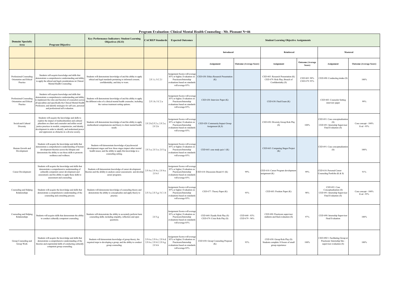#### **Program Evaluation: Clinical Mental Health Counseling - Mt. Pleasant N=46**

<span id="page-28-0"></span>

| <b>Domain/Specialty</b><br>Area                                | <b>Program Objective</b>                                                                                                                                                                                                                                                                                                                 | <b>Key Performance Indicators: Student Learning</b><br>Objectives (SLO)                                                                                                                                  | <b>CACREP</b> Standards                                             | <b>Expected Outcomes</b>                                                                                                                     |                                                                |                                | <b>Student Learning Objective Assignments</b>                                              |                                   |                                                                                                 |                                   |
|----------------------------------------------------------------|------------------------------------------------------------------------------------------------------------------------------------------------------------------------------------------------------------------------------------------------------------------------------------------------------------------------------------------|----------------------------------------------------------------------------------------------------------------------------------------------------------------------------------------------------------|---------------------------------------------------------------------|----------------------------------------------------------------------------------------------------------------------------------------------|----------------------------------------------------------------|--------------------------------|--------------------------------------------------------------------------------------------|-----------------------------------|-------------------------------------------------------------------------------------------------|-----------------------------------|
|                                                                |                                                                                                                                                                                                                                                                                                                                          |                                                                                                                                                                                                          |                                                                     |                                                                                                                                              | Introduced                                                     |                                | Reinforced                                                                                 |                                   | Mastered                                                                                        |                                   |
|                                                                |                                                                                                                                                                                                                                                                                                                                          |                                                                                                                                                                                                          |                                                                     |                                                                                                                                              | Assignment<br><b>Outcome (Average Score)</b>                   |                                | Assignment                                                                                 | <b>Outcome</b> (Average<br>Score) | Assignment                                                                                      | <b>Outcome (Average Score)</b>    |
| Professional Counseling<br>Orientation and Ethical<br>Practice | Students will acquire knowledge and skills that<br>emonstrate a comprehensive understanding and ability<br>to apply the ethical and legal considerations in Clinical<br>Mental Health Counseling                                                                                                                                         | Students will demonstrate knowledge of and the ability to apply<br>ethical and legal standards pertaining to informed consent,<br>confidentiality, and duty to warn.                                     | 2.F.1.i; 5.C.2.1                                                    | Assignment Scores will average<br>85% or higher; Evaluation on<br>Practicum/Internship<br>evaluations based on standards<br>will average 85% | CED 630: Ethics Research Presentation<br>(K)                   |                                | CED 603: Research Presentation (K)<br>CED 679: Role Play; Breach of<br>Confidentiality (S) | CED 603: 90%<br>CED 679: 95%      | CED 690: Conducting intake (S)                                                                  | 100%                              |
| Professional Counseling<br>Orientation and Ethical<br>Practice | Students will acquire knowledge and skills that<br>emonstrate a comprehensive understanding and ability<br>implement the roles and function of counselors across<br>all specialties and specifically the Clinical Mental Health<br>Profession; and identify strategies for self care, personal<br>and professional self evaluation.      | Students will demonstrate knowledge of and the ability to apply<br>the different roles of a clinical mental health counselor, including<br>the various treatment setting options.                        | 2.F.1.b; 5.C.2.a                                                    | Assignment Scores will average<br>85% or higher; Evaluation on<br>Practicum/Internship<br>valuations based on standards<br>will average 85%  | CED 630: Interview Paper (K)                                   |                                | CED 630: Final Exam (K)                                                                    |                                   | CED 603: Counselor Setting<br>interview paper                                                   | 99%                               |
| Social and Cultural<br>Diversity                               | Students will acquire the knowledge and skills to<br>explore the impact of multiculturalism and cultural<br>pluralism on client and counselor and utilize social<br>ustice practices in models, competencies, and identity<br>levelopment in order to identify and understand power<br>and oppression as obstacles in a diverse society. | Students will demonstrate knowledge of and the ability to apply<br>multicultural competnencies and theory to client mental health<br>needs.                                                              | 2.F.2.b;2.F.2.c; 2.F.2.e;<br>2.F.2.h                                | Assignment Scores will average<br>85% or higher; Evaluation on<br>Practicum/Internship<br>valuations based on standards<br>will average 85%  | CED 620: Community Impact Group<br>Assignment (K,S)            |                                | CED 650: Diversity Group Role Play<br>(S)                                                  | 100%                              | CED 691: Case conceptualization<br>(S)<br>CED 691: Internship Superviso<br>Final Evaluation (S) | Case concept - 100%<br>Eval - 95% |
| Human Growth and<br>Development                                | Students will acquire the knowledge and skills that<br>instrate a comprehensive understanding of humi<br>development theories across the lifespan and<br>demonstrate the ability to use these skills to promote<br>resilience and wellness.                                                                                              | Students will demonstrate knowledge of psychosocial<br>development stages and how these stages impact other mental<br>health issues; and the ability to apply this knowledge in a<br>counseling setting. | 2.F.3.a; 2.F.3.e; 2.F.3.g                                           | Assignment Scores will average<br>85% or higher; Evaluation on<br>Practicum/Internship<br>valuations based on standards<br>will average 85%  | CED 665: case study quiz 1 (K)                                 |                                | CED 665: Comparing Stages Project<br>(K)                                                   |                                   | CED 691: Case conceptualization<br>(S)                                                          | 100%                              |
| Career Development                                             | Students will acquire the knowledge and skills that<br>demonstrate a comprehensive understanding of<br>culturally competent career development and<br>assessment; and the ability to apply these skills to<br>assessment and counseling                                                                                                  | Students will demonstrate knowledge of career development<br>heories and the abiility to analyze career assessments and develo<br>career programs.                                                       | 2.F.4.a; 2.F.4.c; 2.F.4.e;<br>2.F.4.f                               | ssignment Scores will average<br>85% or higher; Evaluation on<br>Practicum/Internship<br>valuations based on standards<br>will average 85%   | CED 610: Discussion Board #1 (K)                               | 99%                            | CED 610: Career Program developmen<br>ssignment (K)                                        | 99%                               | CED 610: Personal Career<br>ounseling Portfolio (K & S)                                         | 91%                               |
| Counseling and Helping<br>Relationships                        | Students will acquire the knowledge and skills that<br>demonstrate a comprehensive understanding of the<br>counseling and consulting process.                                                                                                                                                                                            | Students will demonsrate knowledge of counseling theory and<br>demonstrate the ability to conceptualize and apply theory to<br>practice.                                                                 | 2.F.5.a; 2.F.5.g; 5.C.1.b                                           | Assignment Scores will average<br>85% or higher; Evaluation on<br>Practicum/Internship<br>valuations based on standards<br>will average 85%  | CED 677: Theory Paper (K)                                      | 95%                            | CED 603: Position Paper (K)                                                                | 98%                               | CED 691: Case<br>Conceptualization (S)<br>CED 691: Internship Superviso<br>Final Evaluation (S) | Case concept - 100%<br>Eval - 95% |
| Counseling and Helping<br>Relationships                        | Students will acquire skills that demonstrate the ability<br>to conduct culturally competent counseling.                                                                                                                                                                                                                                 | Students will demonstrate the ability to accurately perform basic<br>counseling skills; including empathy, reflection and open<br>questions.                                                             | 2.F.5.g                                                             | Assignment Scores will average<br>85% or higher; Evaluation on<br>Practicum/Internship<br>evaluations based on standards<br>will average 85% | CED 660: Dyadic Role Play (S)<br>CED 679: Crisis Role Play (S) | CED 660 - 83%<br>CED 679 - 96% | CED 690: Practicum supervisor<br>midterm and final evaluation (S)                          | 97%                               | CED 690: Internship Supervisor<br>Final Evaluation                                              | 100%                              |
| Group Counseling and<br>Group Work                             | Students will acquire the knowledge and skills that<br>demonstrate a comprehensive understanding of the<br>theories and experiential skills of conducting culturally<br>competent group counseling.                                                                                                                                      | Students will demonstrate knowledge of group theory; the<br>required steps to developing a group, and the ability to conduct<br>group counseling.                                                        | 2.F.6.a; 2.F.6.c; 2.F.6.d;<br>2.F.6.e; 2.F.6.f; 2.F.6.g;<br>2.F.6.h | ssignment Scores will average<br>85% or higher; Evaluation on<br>Practicum/Internship<br>valuations based on standards<br>will average 85%   | CED 650: Group Counseling Proposal<br>(K)                      | 93%                            | CED 650: Group Role Play (S)<br>Students complete 10 hours of small<br>group experience    | $100\%$                           | CED 690/1: Facilitating Group at<br>Practicum/Internship Site -<br>supervisor evaluation (S)    | 100%                              |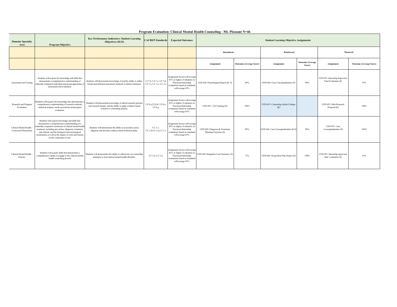| <b>Domain/Specialty</b><br>Area                        | <b>Program Objective</b>                                                                                                                                                                                                                                                                                                                                           | <b>Key Performance Indicators: Student Learning</b><br>Objectives (SLO)                                                                                              | <b>CACREP</b> Standards                                 | <b>Expected Outcomes</b>                                                                                                                     | <b>Student Learning Objective Assignments</b>            |                                |                                             |                                   |                                                          |                                |  |  |
|--------------------------------------------------------|--------------------------------------------------------------------------------------------------------------------------------------------------------------------------------------------------------------------------------------------------------------------------------------------------------------------------------------------------------------------|----------------------------------------------------------------------------------------------------------------------------------------------------------------------|---------------------------------------------------------|----------------------------------------------------------------------------------------------------------------------------------------------|----------------------------------------------------------|--------------------------------|---------------------------------------------|-----------------------------------|----------------------------------------------------------|--------------------------------|--|--|
|                                                        |                                                                                                                                                                                                                                                                                                                                                                    |                                                                                                                                                                      |                                                         |                                                                                                                                              | <b>Introduced</b>                                        | Reinforced                     |                                             |                                   | Mastered                                                 |                                |  |  |
|                                                        |                                                                                                                                                                                                                                                                                                                                                                    |                                                                                                                                                                      |                                                         |                                                                                                                                              | Assignment                                               | <b>Outcome (Average Score)</b> | <b>Assignment</b>                           | <b>Outcome</b> (Average<br>Score) | Assignment                                               | <b>Outcome (Average Score)</b> |  |  |
| Assessment and Testing                                 | Students will acquire the knowledge and skills that<br>demonstrate a comprehensive understanding of<br>culturally competent individual and group approaches to<br>assessment and evaluation.                                                                                                                                                                       | Students will demonstrate knowledge of and the ability to utilize<br>formal and informal assessment methods to inform treatment.                                     | 2.f.7.b; 2.F.7.c; 2.F.7.d;<br>2.F.7.e; 5.C.1.e; 5.C.3.a | Assignment Scores will average<br>85% or higher; Evaluation on<br>Practicum/Internship<br>evaluations based on standards<br>will average 85% | CED 640: Psychological Report (K, S)                     | 89%                            | CED 686: Case Conceptualization (S)         | 80%                               | CED 691: Internship Supervisor<br>Final Evaluation (S)   | 95%                            |  |  |
| Research and Program<br>Evaluation                     | Students will acquire the knowledge that demonstrates a<br>comprehensive understanding of research methods,<br>statistical analysis, needs assessment and program<br>evaluation.                                                                                                                                                                                   | Students will demonstrate knowledge of ethical research practice<br>and research design; and the ability to apply evidence based<br>research to counseling practice. | 2.F.8.a;2.F.8.b; 2.F.8.e;<br>2.F.8.g                    | Assignment Scores will average<br>85% or higher; Evaluation on<br>Practicum/Internship<br>evaluations based on standards<br>will average 85% | CED 695: Citi Training (K)                               | 100%                           | CED 695: Counseling Article Critique<br>(K) |                                   | CED 695: Mini Research<br>Proposal (K)                   | 100%                           |  |  |
| Clinical Mental Health<br><b>Contextual Dimensions</b> | Students will acquire knowledge and skills that<br>demonstrate a comprehensive understanding of a<br>culturally competent continuum of clinical mental health<br>treatment; including prevention, diagnosis, treatment,<br>and referral; and the biological and neurological<br>mechanisms as well as the impact of crisis and trauma<br>on the continuum of care. | Students will demonstrate the ability to accurately assess,<br>diagnose and develop evidence based treatment plans.                                                  | 5.C.1.c;<br>5.C.2.d;5.C.3.a;5.C.1.e                     | Assignment Scores will average<br>85% or higher; Evaluation on<br>Practicum/Internship<br>evaluations based on standards<br>will average 85% | CED 699: Diagnosis & Treatment<br>Planning Exercises (S) | 98%                            | CED 686: Case Conceptualization (K,S)       | 80%                               | CED 691: Case<br>Conceptualization (S)                   | 100%                           |  |  |
| Clinical Mental Health<br>Practice                     | Students will acquire skills that demonstrate a<br>comprehensive ability to engage in the clinical mental<br>health counseling process                                                                                                                                                                                                                             | Students will demonstrate the ability to effectively use counseling<br>strategies to treat clinical mental health disorders.                                         | 5.C.3.b; 5.C.3.a                                        | Assignment Scores will average<br>85% or higher; Evaluation on<br>Practicum/Internship<br>evaluations based on standards<br>will average 85% | CED 699: Integrative Case Summary (S)                    | 73%                            | CED 686: Group Role Play Project (S)        | 100%                              | CED 691: Internship supervisor<br>final evaluation $(S)$ | 95%                            |  |  |

#### **Program Evaluation: Clinical Mental Health Counseling - Mt. Pleasant N=46**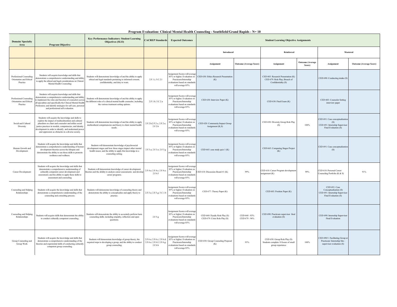<span id="page-30-0"></span>

| <b>Domain/Specialty</b><br>Area                                | <b>Program Objective</b>                                                                                                                                                                                                                                                                                                                | <b>Key Performance Indicators: Student Learning</b><br><b>Objectives (SLO)</b>                                                                                                                           | <b>CACREP Standards</b>                                             | <b>Expected Outcomes</b>                                                                                                                     | <b>Student Learning Objective Assignments</b>                  |                                |                                                                                            |                                   |                                                                                                  |                                |
|----------------------------------------------------------------|-----------------------------------------------------------------------------------------------------------------------------------------------------------------------------------------------------------------------------------------------------------------------------------------------------------------------------------------|----------------------------------------------------------------------------------------------------------------------------------------------------------------------------------------------------------|---------------------------------------------------------------------|----------------------------------------------------------------------------------------------------------------------------------------------|----------------------------------------------------------------|--------------------------------|--------------------------------------------------------------------------------------------|-----------------------------------|--------------------------------------------------------------------------------------------------|--------------------------------|
|                                                                |                                                                                                                                                                                                                                                                                                                                         |                                                                                                                                                                                                          |                                                                     |                                                                                                                                              | Introduced                                                     |                                | Reinforced                                                                                 |                                   | Mastered                                                                                         |                                |
|                                                                |                                                                                                                                                                                                                                                                                                                                         |                                                                                                                                                                                                          |                                                                     |                                                                                                                                              | Assignment                                                     | <b>Outcome (Average Score)</b> | Assignment                                                                                 | <b>Outcome</b> (Average<br>Score) | Assignment                                                                                       | <b>Outcome (Average Score)</b> |
| Professional Counseling<br>Orientation and Ethical<br>Practice | Students will acquire knowledge and skills that<br>emonstrate a comprehensive understanding and ability<br>o apply the ethical and legal considerations in Clinical<br>Mental Health Counseling                                                                                                                                         | Students will demonstrate knowledge of and the ability to apply<br>ethical and legal standards pertaining to informed consent,<br>confidentiality, and duty to warn.                                     | 2.F.1.i; 5.C.2.1                                                    | Assignment Scores will average<br>85% or higher; Evaluation on<br>Practicum/Internship<br>valuations based on standards<br>will average 85%  | CED 630: Ethics Research Presentation<br>(K)                   |                                | CED 603: Research Presentation (K)<br>CED 679: Role Play; Breach of<br>Confidentiality (S) |                                   | CED 690: Conducting intake (S)                                                                   |                                |
| Professional Counseling<br>Orientation and Ethical<br>Practice | Students will acquire knowledge and skills that<br>monstrate a comprehensive understanding and ability<br>implement the roles and function of counselors across<br>all specialties and specifically the Clinical Mental Health<br>Profession; and identify strategies for self care, personal<br>and professional self evaluation.      | Students will demonstrate knowledge of and the ability to apply<br>the different roles of a clinical mental health counselor, including<br>the various treatment setting options.                        | 2.F.1.b; 5.C.2.a                                                    | Assignment Scores will average<br>85% or higher; Evaluation on<br>Practicum/Internship<br>valuations based on standards<br>will average 85%  | CED 630: Interview Paper (K)                                   |                                | CED 630: Final Exam (K)                                                                    |                                   | CED 603: Counselor Setting<br>interview paper                                                    |                                |
| Social and Cultural<br>Diversity                               | Students will acquire the knowledge and skills to<br>explore the impact of multiculturalism and cultural<br>pluralism on client and counselor and utilize social<br>ustice practices in models, competencies, and identity<br>development in order to identify and understand powe<br>and oppression as obstacles in a diverse society. | Students will demonstrate knowledge of and the ability to apply<br>multicultural competnencies and theory to client mental health<br>needs                                                               | 2.F.2.b;2.F.2.c; 2.F.2.e;<br>2.F.2.h                                | ssignment Scores will average<br>85% or higher; Evaluation on<br>Practicum/Internship<br>valuations based on standards<br>will average 85%   | CED 620: Community Impact Group<br>Assignment (K,S)            |                                | CED 650: Diversity Group Role Play<br>(S)                                                  | 100%                              | CED 691: Case conceptualization<br>CED 691: Internship Supervisor<br>Final Evaluation (S)        |                                |
| Human Growth and<br>Development                                | Students will acquire the knowledge and skills that<br>emonstrate a comprehensive understanding of humar<br>development theories across the lifespan and<br>demonstrate the ability to use these skills to promote<br>resilience and wellness.                                                                                          | Students will demonstrate knowledge of psychosocial<br>development stages and how these stages impact other mental<br>health issues; and the ability to apply this knowledge in a<br>counseling setting. | 2.F.3.a; 2.F.3.e; 2.F.3.g                                           | Assignment Scores will average<br>85% or higher: Evaluation on<br>Practicum/Internship<br>evaluations based on standards<br>will average 85% | CED 665: case study quiz 1 (K)                                 |                                | CED 665: Comparing Stages Project<br>(K)                                                   |                                   | CED 691: Case conceptualization<br>(S)                                                           |                                |
| Career Development                                             | Students will acquire the knowledge and skills that<br>demonstrate a comprehensive understanding of<br>culturally competent career development and<br>assessment; and the ability to apply these skills to<br>assessment and counseling                                                                                                 | Students will demonstrate knowledge of career development<br>heories and the abiility to analyze career assessments and develoy<br>career programs.                                                      | 2.F.4.a: 2.F.4.c: 2.F.4.e:<br>2.F.4.f                               | ssignment Scores will average<br>85% or higher: Evaluation on<br>Practicum/Internship<br>valuations based on standards<br>will average 85%   | CED 610: Discussion Board #1 (K)                               | 99%                            | CED 610: Career Program development<br>assignment (K)                                      | 99%                               | CED 610: Personal Career<br>Counseling Portfolio (K & S)                                         | 91%                            |
| Counseling and Helping<br>Relationships                        | Students will acquire the knowledge and skills that<br>demonstrate a comprehensive understanding of the<br>counseling and consulting process.                                                                                                                                                                                           | Students will demonsrate knowledge of counseling theory and<br>demonstrate the ability to conceptualize and apply theory to<br>practice.                                                                 | 2.F.5.a; 2.F.5.g; 5.C.1.b                                           | Assignment Scores will average<br>85% or higher; Evaluation on<br>Practicum/Internship<br>valuations based on standards<br>will average 85%  | CED 677: Theory Paper (K)                                      |                                | CED 603: Position Paper (K)                                                                |                                   | CED 691: Case<br>Conceptualization (S)<br>CED 691: Internship Supervisor<br>Final Evaluation (S) |                                |
| Counseling and Helping<br>Relationships                        | Students will acquire skills that demonstrate the ability<br>to conduct culturally competent counseling.                                                                                                                                                                                                                                | Students will demonstrate the ability to accurately perform basic<br>counseling skills; including empathy, reflection and open<br>questions.                                                             | 2.F.5.g                                                             | Assignment Scores will average<br>85% or higher; Evaluation on<br>Practicum/Internship<br>valuations based on standards<br>will average 85%  | CED 660: Dyadic Role Play (S)<br>CED 679: Crisis Role Play (S) | CED 660 - 83%<br>CED 679 - 96% | CED 690: Practicum supervisor final<br>evaluation (S)                                      |                                   | CED 690: Internship Supervisor<br>Final Evaluation                                               |                                |
| Group Counseling and<br>Group Work                             | Students will acquire the knowledge and skills that<br>demonstrate a comprehensive understanding of the<br>theories and experiential skills of conducting culturally<br>competent group counseling.                                                                                                                                     | Students will demonstrate knowledge of group theory; the<br>required steps to developing a group, and the ability to conduct<br>group counseling.                                                        | 2.F.6.a; 2.F.6.c; 2.F.6.d;<br>2.F.6.e; 2.F.6.f; 2.F.6.g;<br>2.F.6.h | ssignment Scores will average<br>85% or higher; Evaluation on<br>Practicum/Internship<br>valuations based on standards<br>will average 85%   | CED 650: Group Counseling Proposal<br>(K)                      | 93%                            | CED 650: Group Role Play (S)<br>Students complete 10 hours of small<br>group experience    | 100%                              | CED 690/1: Facilitating Group at<br>Practicum/Internship Site -<br>supervisor evaluation (S)     |                                |

#### **Program Evaluation: Clinical Mental Health Counseling - Southfield/Grand Rapids - N= 10**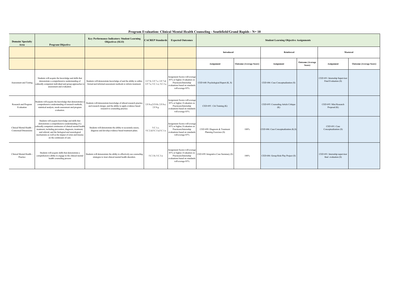| <b>Domain/Specialty</b><br>Area                        | <b>Program Objective</b>                                                                                                                                                                                                                                                                                                                                          | <b>Key Performance Indicators: Student Learning</b><br><b>Objectives (SLO)</b>                                                                                       | <b>CACREP</b> Standards                                 | <b>Expected Outcomes</b>                                                                                                                     | <b>Student Learning Objective Assignments</b>            |                                |                                             |                                   |                                                        |                                |
|--------------------------------------------------------|-------------------------------------------------------------------------------------------------------------------------------------------------------------------------------------------------------------------------------------------------------------------------------------------------------------------------------------------------------------------|----------------------------------------------------------------------------------------------------------------------------------------------------------------------|---------------------------------------------------------|----------------------------------------------------------------------------------------------------------------------------------------------|----------------------------------------------------------|--------------------------------|---------------------------------------------|-----------------------------------|--------------------------------------------------------|--------------------------------|
|                                                        |                                                                                                                                                                                                                                                                                                                                                                   |                                                                                                                                                                      |                                                         |                                                                                                                                              | Introduced                                               |                                | Reinforced                                  |                                   |                                                        | Mastered                       |
|                                                        |                                                                                                                                                                                                                                                                                                                                                                   |                                                                                                                                                                      |                                                         |                                                                                                                                              | Assignment                                               | <b>Outcome (Average Score)</b> | Assignment                                  | <b>Outcome</b> (Average<br>Score) | Assignment                                             | <b>Outcome (Average Score)</b> |
| Assessment and Testing                                 | Students will acquire the knowledge and skills that<br>demonstrate a comprehensive understanding of<br>culturally competent individual and group approaches to<br>assessment and evaluation.                                                                                                                                                                      | Students will demonstrate knowledge of and the ability to utilize<br>formal and informal assessment methods to inform treatment.                                     | 2.f.7.b; 2.F.7.c; 2.F.7.d;<br>2.F.7.e; 5.C.1.e; 5.C.3.a | Assignment Scores will average<br>85% or higher; Evaluation on<br>Practicum/Internship<br>evaluations based on standards<br>will average 85% | CED 640: Psychological Report (K, S)                     |                                | CED 686: Case Conceptualization (S)         |                                   | CED 691: Internship Supervisor<br>Final Evaluation (S) |                                |
| Research and Program<br>Evaluation                     | Students will acquire the knowledge that demonstrates a<br>comprehensive understanding of research methods,<br>statistical analysis, needs assessment and program<br>evaluation.                                                                                                                                                                                  | Students will demonstrate knowledge of ethical research practice<br>and research design; and the ability to apply evidence based<br>research to counseling practice. | 2.F.8.a;2.F.8.b; 2.F.8.e;<br>2.F.8.g                    | Assignment Scores will average<br>85% or higher; Evaluation on<br>Practicum/Internship<br>evaluations based on standards<br>will average 85% | CED 695: Citi Training (K)                               |                                | CED 695: Counseling Article Critique<br>(K) |                                   | CED 695: Mini Research<br>Proposal (K)                 |                                |
| Clinical Mental Health<br><b>Contextual Dimensions</b> | Students will acquire knowledge and skills that<br>demonstrate a comprehensive understanding of a<br>ulturally competent continuum of clinical mental health<br>treatment; including prevention, diagnosis, treatment,<br>and referral; and the biological and neurological<br>mechanisms as well as the impact of crisis and trauma<br>on the continuum of care. | Students will demonstrate the ability to accurately assess,<br>diagnose and develop evidence based treatment plans.                                                  | 5.C.1.c;<br>5.C.2.d;5.C.3.a;5.C.1.e                     | Assignment Scores will average<br>85% or higher; Evaluation on<br>Practicum/Internship<br>evaluations based on standards<br>will average 85% | CED 699: Diagnosis & Treatment<br>Planning Exercises (S) | 100%                           | CED 686: Case Conceptualization (K,S)       |                                   | CED 691: Case<br>Conceptualization (S)                 |                                |
| Clinical Mental Health -<br>Practice                   | Students will acquire skills that demonstrate a<br>comprehensive ability to engage in the clinical mental<br>health counseling process                                                                                                                                                                                                                            | Students will demonstrate the ability to effectively use counseling<br>strategies to treat clinical mental health disorders.                                         | 5.C.3.b; 5.C.3.a                                        | Assignment Scores will average<br>85% or higher; Evaluation on<br>Practicum/Internship<br>evaluations based on standards<br>will average 85% | CED 699: Integrative Case Summary (S)                    | 100%                           | CED 686: Group Role Play Project (S)        |                                   | CED 691: Internship supervisor<br>final evaluation (S) |                                |

#### **Program Evaluation: Clinical Mental Health Counseling - Southfield/Grand Rapids - N= 10**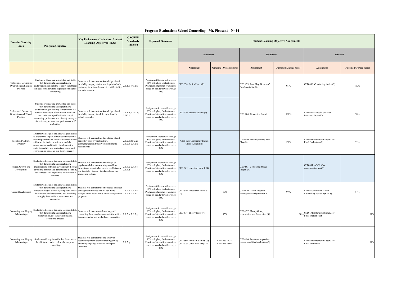**Program Evaluation: School Counseling - Mt. Pleasant - N=14**

<span id="page-32-0"></span>

| <b>Domain/Specialty</b><br>Area                                | <b>Program Objective</b>                                                                                                                                                                                                                                                                                                                    | <b>Key Performance Indicators: Student</b><br><b>Learning Objectives (SLO)</b>                                                                                                                            | <b>CACREP</b><br><b>Standards</b><br>Tracked | <b>Expected Outcomes</b>                                                                                                                     |                                                                |                                |                                                                   | <b>Student Learning Objective Assignments</b> |                                                            |                                |
|----------------------------------------------------------------|---------------------------------------------------------------------------------------------------------------------------------------------------------------------------------------------------------------------------------------------------------------------------------------------------------------------------------------------|-----------------------------------------------------------------------------------------------------------------------------------------------------------------------------------------------------------|----------------------------------------------|----------------------------------------------------------------------------------------------------------------------------------------------|----------------------------------------------------------------|--------------------------------|-------------------------------------------------------------------|-----------------------------------------------|------------------------------------------------------------|--------------------------------|
|                                                                |                                                                                                                                                                                                                                                                                                                                             |                                                                                                                                                                                                           |                                              |                                                                                                                                              | <b>Introduced</b>                                              |                                | Reinforced                                                        |                                               | Mastered                                                   |                                |
|                                                                |                                                                                                                                                                                                                                                                                                                                             |                                                                                                                                                                                                           |                                              |                                                                                                                                              | Assignment                                                     | <b>Outcome (Average Score)</b> | Assignment                                                        | <b>Outcome (Average Score)</b>                | Assignment                                                 | <b>Outcome (Average Score)</b> |
| Professional Counseling<br>Orientation and Ethical<br>Practice | Students will acquire knowledge and skills<br>that demonstrate a comprehensive<br>understanding and ability to apply the ethical<br>and legal considerations in professional school<br>counseling                                                                                                                                           | Students will demonstrate knowledge of and<br>the ability to apply ethical and legal standards<br>pertaining to informed consent, confidentiality.<br>and duty to warn.                                   | 2.F.1.i: 5.G.2.n                             | Assignment Scores will average<br>85% or higher; Evaluation on<br>Practicum/Internship evaluations<br>based on standards will average<br>85% | CED 630: Ethics Paper (K)                                      |                                | CED 679: Role Play; Breach of<br>Confidentiality (S)              | 95%                                           | CED 690: Conducting intake (S)                             | 100%                           |
| Professional Counseling<br>Orientation and Ethical<br>Practice | Students will acquire knowledge and skills<br>that demonstrate a comprehensive<br>understanding and ability to implement the<br>roles and functions of counselors across all<br>specialties and specifically the school<br>counseling profession; and identify strategies<br>for self care, personal and professional self<br>evaluation.   | Students will demonstrate knowledge of and<br>the ability to apply the different roles of a<br>chool counselor.                                                                                           | 2.F.1.b: 5.G.2.a:<br>5.G.2.b                 | Assignment Scores will average<br>85% or higher; Evaluation on<br>Practicum/Internship evaluations<br>based on standards will average<br>85% | CED 630: Interview Paper (k)                                   |                                | CED 604: Discussion Board                                         | 100%                                          | CED 604: School Counselor<br>Interview Paper (K)           | 98%                            |
| Social and Cultural<br>Diversity                               | Students will acquire the knowledge and skill:<br>to explore the impact of multiculturalism and<br>cultural pluralism on client and counselor and<br>atilize social justice practices in models,<br>ompetencies, and identity development in<br>order to identify and understand power and<br>oppression as obstacles in a diverse society. | Students will demonstrate knowledge of and<br>the ability to apply multicultural<br>ompetnencies and theory to client mental<br>ealth needs.                                                              | 2.F.2.b;2.F.2.c;<br>2.F.2.e; 2.F.2.h         | Assignment Scores will average<br>85% or higher; Evaluation on<br>Practicum/Internship evaluations<br>based on standards will average<br>85% | CED 620: Community Impact<br>Group Assignment                  |                                | CED 650: Diversity Group Role<br>Play (S)                         | 100%                                          | CED 691: Internship Supervisor<br>Final Evaluation (S)     | 99%                            |
| Human Growth and<br>Development                                | Students will acquire the knowledge and skills<br>that demonstrate a comprehensive<br>nderstanding of human development theories<br>cross the lifespan and demonstrate the ability<br>to use these skills to promote resilience and<br>wellness.                                                                                            | tudents will demonstrate knowledge of<br>psychosocial development stages and how<br>these stages impact other mental health issues;<br>and the ability to apply this knowledge in a<br>punseling setting. | 2.F.3.a; 2.F.3.e;<br>2.F.3.g.                | Assignment Scores will average<br>85% or higher; Evaluation on<br>Practicum/Internship evaluations<br>based on standards will average<br>85% | CED 665: case study quiz 1 (K)                                 |                                | CED 665: Comparing Stages<br>Project (K)                          |                                               | CED 691: ASCA-Case<br>conceptualization (S)                |                                |
| Career Development                                             | Students will acquire the knowledge and skills<br>that demonstrate a comprehensive<br>understanding of culturally competent career<br>development and assessment; and the ability<br>to apply these skills to assessment and<br>counseling                                                                                                  | Students will demonstrate knowledge of career<br>development theories and the abiility to<br>analyze career assessments and develop career 2.F.4.e; 2.F.4.f<br>programs.                                  | 2.F.4.a; 2.F.4.c;                            | Assignment Scores will average<br>85% or higher; Evaluation on<br>Practicum/Internship evaluations<br>based on standards will average<br>85% | CED 610: Discussion Board #1<br><b>K)</b>                      | 99%                            | CED 610: Career Program<br>development assignment (K)             | 99%                                           | CED 610: Personal Career<br>Counseling Portfolio (K & S)   | 91%                            |
| Counseling and Helping<br>Relationships                        | Students will acquire the knowledge and skills<br>that demonstrate a comprehensive<br>understanding of the counseling and<br>consulting process.                                                                                                                                                                                            | Students will demonsrate knowledge of<br>counseling theory and demonstrate the ability<br>o conceptualize and apply theory to practice.                                                                   | 2.F.5.a; 2.F.5.g;                            | Assignment Scores will average<br>85% or higher; Evaluation on<br>Practicum/Internship evaluations<br>based on standards will average<br>85% | CED 677: Theory Paper (K)                                      | 93%                            | CED 677: Theory Group<br>presentation and Discussion (K)          |                                               | 90% CED 691: Internship Supervisor<br>Final Evaluation (S) | 98%                            |
| Counseling and Helping<br>Relationships                        | Students will acquire skills that demonstrate<br>the ability to conduct culturally competent<br>counseling.                                                                                                                                                                                                                                 | Students will demonstrate the ability to<br>accurately perform basic counseling skills;<br>ncluding empathy, reflection and open<br>mestions.                                                             | 2.F.5.g.                                     | Assignment Scores will average<br>85% or higher; Evaluation on<br>Practicum/Internship evaluations<br>based on standards will average<br>85% | CED 660: Dyadic Role Play (S)<br>CED 679: Crisis Role Play (S) | CED 660 - 83%<br>CED 679 - 96% | CED 690: Practicum supervisor<br>midterm and final evaluation (S) |                                               | CED 691: Internship Supervisor<br><b>Final Evaluation</b>  | 98%                            |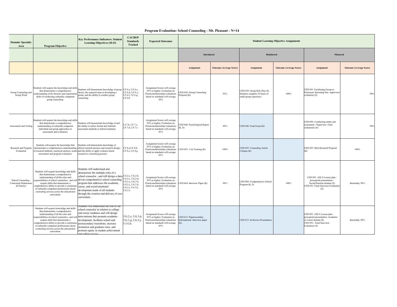| <b>Domain/Specialty</b><br>Area                                   | <b>Program Objective</b>                                                                                                                                                                                                                                                                                                                                           | <b>Key Performance Indicators: Student</b><br><b>Learning Objectives (SLO)</b>                                                                                                                                                                                                                                                                                                                                        | <b>CACREP</b><br><b>Standards</b><br><b>Tracked</b>                    | <b>Expected Outcomes</b>                                                                                                                     | <b>Student Learning Objective Assignments</b>                   |                                |                                                                                         |                                |                                                                                                                                        |                                |  |
|-------------------------------------------------------------------|--------------------------------------------------------------------------------------------------------------------------------------------------------------------------------------------------------------------------------------------------------------------------------------------------------------------------------------------------------------------|-----------------------------------------------------------------------------------------------------------------------------------------------------------------------------------------------------------------------------------------------------------------------------------------------------------------------------------------------------------------------------------------------------------------------|------------------------------------------------------------------------|----------------------------------------------------------------------------------------------------------------------------------------------|-----------------------------------------------------------------|--------------------------------|-----------------------------------------------------------------------------------------|--------------------------------|----------------------------------------------------------------------------------------------------------------------------------------|--------------------------------|--|
|                                                                   |                                                                                                                                                                                                                                                                                                                                                                    |                                                                                                                                                                                                                                                                                                                                                                                                                       |                                                                        |                                                                                                                                              | <b>Introduced</b><br>Reinforced                                 |                                |                                                                                         | Mastered                       |                                                                                                                                        |                                |  |
|                                                                   |                                                                                                                                                                                                                                                                                                                                                                    |                                                                                                                                                                                                                                                                                                                                                                                                                       |                                                                        |                                                                                                                                              | Assignment                                                      | <b>Outcome (Average Score)</b> | Assignment                                                                              | <b>Outcome (Average Score)</b> | Assignment                                                                                                                             | <b>Outcome (Average Score)</b> |  |
| Group Counseling and<br>Group Work                                | Students will acquire the knowledge and skills<br>that demonstrate a comprehensive<br>nderstanding of the theories and experiential<br>skills of conducting culturally competent<br>group counseling.                                                                                                                                                              | Students will demonstrate knowledge of group 2.F.6.a; 2.F.6.c;<br>theory; the required steps to developing a<br>group, and the ability to conduct group<br>counseling.                                                                                                                                                                                                                                                | 2.F.6.d; 2.F.6.e;<br>2.F.6.f; 2.F.6.g;<br>2.F.6.h                      | Assignment Scores will average<br>85% or higher; Evaluation on<br>Practicum/Internship evaluations<br>based on standards will average<br>85% | CED 650: Group Counseling<br>Proposal (K)                       | 93%                            | CED 650: Group Role Play (S)<br>Students complete 10 hours of<br>small group experience | 100%                           | CED 691: Facilitating Group at<br>Practicum/ Internship Site -supervisor<br>evaluation (S)                                             | 98%                            |  |
| <b>Assessment and Testing</b>                                     | Students will acquire the knowledge and skills<br>that demonstrate a comprehensive<br>understanding of culturally competent<br>individual and group approaches to<br>assessment and evaluation.                                                                                                                                                                    | Students will demonstrate knowledge of and<br>the ability to utilize formal and informal<br>assessment methods to inform treatment.                                                                                                                                                                                                                                                                                   | 2.f.7.b: 2.F.7.c:<br>2.F.7.d: 2.F.7.e                                  | Assignment Scores will average<br>85% or higher; Evaluation on<br>Practicum/Internship evaluations<br>based on standards will average<br>85% | CED 640: Psychological Report<br>(K, S)                         | 89%                            | CED 640: Final Exam (K)                                                                 |                                | CED 690: Conducting intake and<br>assessment - Supervisor Final<br>evaluations (S)                                                     | 98%                            |  |
| Research and Program<br>Evaluation                                | Students will acquire the knowledge that<br>of research methods, statistical analysis, needs and the ability to apply evidence based<br>assessment and program evaluation.                                                                                                                                                                                         | Students will demonstrate knowledge of<br>demonstrates a comprehensive understanding ethical research practice and research design;<br>research to counseling practice.                                                                                                                                                                                                                                               | 2.F.8.a; 2.F.8.b;<br>2.F.8.e; 2.F.8.g                                  | Assignment Scores will average<br>85% or higher; Evaluation on<br>Practicum/Internship evaluations<br>based on standards will average<br>85% | CED 695: Citi Training (K)                                      | 100%                           | CED 695: Counseling Article<br>Critique (K)                                             |                                | CED 695: Mini Research Proposal<br>(K)                                                                                                 | 100%                           |  |
| School Counseling -<br><b>Contextual Dimensions</b><br>& Practice | Students will acquire knowledge and skills<br>that demonstrate a comprehensive<br>understanding of all the roles and<br>acquire skills that demonstrate a<br>comprehensive ability to provide a continuun<br>of culturally competent professional school<br>counseling services across the educational<br>curriculum.                                              | Students will understand and<br>demonstrate the multiple roles of a<br>school counselor; and will design a data-5.G.2.a, 5.G.2.b,<br>esponsibilities of school counselors; and will driven comprehensive school counseling 5.G.2.c, 5.G.2.d;<br>program that addresses the academic,<br>career, and social/emotional<br>development needs of all students<br>through the creation and delivery of core<br>curriculum. | 5.G.3.a, 5.G.3.b,<br>5.G.3.c. 5.G.3.d.<br>5.G.3.j, 5.G.3.k,<br>5.G.3.o | Assignment Scores will average<br>85% or higher; Evaluation on<br>Practicum/Internship evaluations<br>based on standards will average<br>85% | CED 604: Interview Paper (K)                                    | 98%                            | CED 604: Comprehensive School<br>Program (K, S)                                         | 100%                           | CED 691: ASCA Lesson plan -<br>powerpoint presentation -<br>Social/Emotion domain (S)<br>CED 691: Final Suervisor Evaluation<br>(S)    | Internship: 98%                |  |
|                                                                   | Students will acquire knowledge and skills<br>that demonstrate a comprehensive<br>understanding of all the roles and<br>esponsibilities of school counselors; and<br>acquire skills that demonstrate a<br>comprehensive ability to provide a continuum<br>of culturally competent professional school<br>counseling services across the educational<br>curriculum. | tugents will ungerstang the role of the<br>school counselor in relation to college<br>and career readiness and will design<br>will interventions that promote academic<br>development, facilitate school and<br>postsecondary transitions, increase<br>promotion and graduate rates, and<br>promote equity in student achievement                                                                                     | 5.G.2.c; 5.G.3.d;<br>5.G.3.g; 5.G.3.j;<br>5.3.G.k                      | Assignment Scores will average<br>85% or higher; Evaluation on<br>Practicum/Internship evaluations<br>based on standards will average<br>85% | CED 615: Popstsecondary<br>Informational Interview paper<br>(K) |                                | CED 615: In-Service Presentation                                                        |                                | CED 691: ASCA Lesson plan -<br>powerpoint presentation -Academic<br>or Career domain (S)<br>CED 691: Final Suervisor<br>Evaluation (S) | Internship: 98%                |  |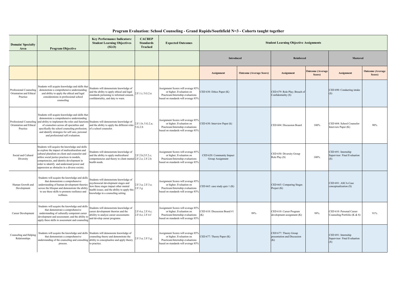|  |  |  | Program Evaluation: School Counseling - Grand Rapids/Southfield N=3 - Cohorts taught together |  |
|--|--|--|-----------------------------------------------------------------------------------------------|--|
|  |  |  |                                                                                               |  |

| <b>Domain/Specialty</b><br>Area                                | <b>Program Objective</b>                                                                                                                                                                                                                                                                                                                                                      | <b>Key Performance Indicators:</b><br><b>Student Learning Objectives</b><br>(SLO)                                                                                                                          | <b>CACREP</b><br><b>Standards</b><br>Tracked | <b>Expected Outcomes</b>                                                                                                                  | <b>Student Learning Objective Assignments</b> |                                |                                                             |                                   |                                                           |                                   |
|----------------------------------------------------------------|-------------------------------------------------------------------------------------------------------------------------------------------------------------------------------------------------------------------------------------------------------------------------------------------------------------------------------------------------------------------------------|------------------------------------------------------------------------------------------------------------------------------------------------------------------------------------------------------------|----------------------------------------------|-------------------------------------------------------------------------------------------------------------------------------------------|-----------------------------------------------|--------------------------------|-------------------------------------------------------------|-----------------------------------|-----------------------------------------------------------|-----------------------------------|
|                                                                |                                                                                                                                                                                                                                                                                                                                                                               |                                                                                                                                                                                                            |                                              |                                                                                                                                           | <b>Introduced</b>                             |                                | <b>Reinforced</b>                                           |                                   | <b>Mastered</b>                                           |                                   |
|                                                                |                                                                                                                                                                                                                                                                                                                                                                               |                                                                                                                                                                                                            |                                              |                                                                                                                                           | <b>Assignment</b>                             | <b>Outcome (Average Score)</b> | <b>Assignment</b>                                           | <b>Outcome</b> (Average<br>Score) | <b>Assignment</b>                                         | <b>Outcome</b> (Average<br>Score) |
| Professional Counseling<br>Orientation and Ethica<br>Practice  | Students will acquire knowledge and skills that<br>demonstrate a comprehensive understanding<br>and ability to apply the ethical and legal<br>considerations in professional school<br>counseling                                                                                                                                                                             | Students will demonstrate knowledge of<br>and the ability to apply ethical and legal<br>standards pertaining to informed consent<br>confidentiality, and duty to warn.                                     | 2.F.1.i: 5.G.2.n                             | Assignment Scores will average 85%<br>or higher; Evaluation on<br>Practicum/Internship evaluations<br>based on standards will average 85% | CED 630: Ethics Paper (K)                     |                                | CED 679: Role Play; Breach of<br>Confidentiality (S)        |                                   | CED 690: Conducting intake<br>(S)                         |                                   |
| Professional Counseling<br>Orientation and Ethical<br>Practice | Students will acquire knowledge and skills that<br>demonstrate a comprehensive understanding<br>and ability to implement the roles and functions Students will demonstrate knowledge of<br>of counselors across all specialties and<br>specifically the school counseling profession;<br>and identify strategies for self care, personal<br>and professional self evaluation. | and the ability to apply the different roles<br>of a school counselor.                                                                                                                                     | 2.F.1.b; 5.G.2.a;<br>5.G.2.b                 | Assignment Scores will average 85%<br>or higher; Evaluation on<br>Practicum/Internship evaluations<br>based on standards will average 85% | CED 630: Interview Paper (k)                  |                                | CED 604: Discussion Board                                   | 100%                              | CED 604: School Counselor<br>Interview Paper (K)          | 90%                               |
| Social and Cultural<br>Diversity                               | Students will acquire the knowledge and skills<br>to explore the impact of multiculturalism and<br>cultural pluralism on client and counselor and<br>utilize social justice practices in models,<br>competencies, and identity development in<br>order to identify and understand power and<br>oppression as obstacles in a diverse society.                                  | Students will demonstrate knowledge of<br>and the ability to apply multicultural<br>competnencies and theory to client mental 2.F.2.e; 2.F.2.h<br>health needs.                                            | 2.F.2.b;2.F.2.c;                             | Assignment Scores will average 85%<br>or higher; Evaluation on<br>Practicum/Internship evaluations<br>based on standards will average 85% | CED 620: Community Impact<br>Group Assignment |                                | CED 650: Diversity Group<br>Role Play (S)                   | 100%                              | CED 691: Internship<br>Supervisor Final Evaluation<br>(S) |                                   |
| Human Growth and<br>Development                                | Students will acquire the knowledge and skills<br>that demonstrate a comprehensive<br>understanding of human development theories<br>across the lifespan and demonstrate the ability<br>to use these skills to promote resilience and<br>wellness.                                                                                                                            | Students will demonstrate knowledge of<br>psychosocial development stages and<br>how these stages impact other mental<br>ealth issues; and the ability to apply this<br>knowledge in a counseling setting. | 2.F.3.a; 2.F.3.e;<br>2.F.3.g.                | Assignment Scores will average 85%<br>or higher; Evaluation on<br>Practicum/Internship evaluations<br>based on standards will average 85% | CED 665: case study quiz 1 (K)                |                                | CED 665: Comparing Stages<br>Project (K)                    |                                   | CED 691: ASCA-Case<br>conceptualization (S)               |                                   |
| Career Development                                             | Students will acquire the knowledge and skills<br>that demonstrate a comprehensive<br>understanding of culturally competent career<br>development and assessment; and the ability to<br>apply these skills to assessment and counseling                                                                                                                                       | Students will demonstrate knowledge of<br>career development theories and the<br>abiility to analyze career assessments<br>and develop career programs.                                                    | 2.F.4.a; 2.F.4.c;<br>2.F.4.e; 2.F.4.f        | Assignment Scores will average 85%<br>or higher; Evaluation on<br>Practicum/Internship evaluations<br>based on standards will average 85% | CED 610: Discussion Board #1<br>(K)           | 99%                            | CED 610: Career Program<br>development assignment (K)       | 99%                               | CED 610: Personal Career<br>Counseling Portfolio (K & S)  | 91%                               |
| Counseling and Helping<br>Relationships                        | Students will acquire the knowledge and skills Students will demonsrate knowledge of<br>that demonstrate a comprehensive<br>understanding of the counseling and consulting ability to conceptualize and apply theory<br>process.                                                                                                                                              | counseling theory and demonstrate the<br>to practice.                                                                                                                                                      | 2.F.5.a; 2.F.5.g;                            | Assignment Scores will average 85%<br>or higher; Evaluation on<br>Practicum/Internship evaluations<br>based on standards will average 85% | CED 677: Theory Paper (K)                     |                                | CED 677: Theory Group<br>presentation and Discussion<br>(K) |                                   | CED 691: Internship<br>Supervisor Final Evaluation<br>(S) |                                   |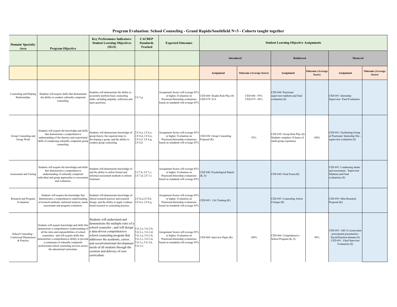#### **Program Evaluation: School Counseling - Grand Rapids/Southfield N=3 - Cohorts taught together**

<span id="page-35-0"></span>

| <b>Domain/Specialty</b><br>Area                                   | <b>Program Objective</b>                                                                                                                                                                                                                                                                                                                                                                         | <b>Key Performance Indicators:</b><br><b>Student Learning Objectives</b><br>(SLO)                                                                                                                                                                                                                  | <b>CACREP</b><br><b>Standards</b><br><b>Tracked</b>                                                              | <b>Expected Outcomes</b>                                                                                                                  | <b>Student Learning Objective Assignments</b> |                                |                                                                                         |                                   |                                                                                                                                    |                                   |
|-------------------------------------------------------------------|--------------------------------------------------------------------------------------------------------------------------------------------------------------------------------------------------------------------------------------------------------------------------------------------------------------------------------------------------------------------------------------------------|----------------------------------------------------------------------------------------------------------------------------------------------------------------------------------------------------------------------------------------------------------------------------------------------------|------------------------------------------------------------------------------------------------------------------|-------------------------------------------------------------------------------------------------------------------------------------------|-----------------------------------------------|--------------------------------|-----------------------------------------------------------------------------------------|-----------------------------------|------------------------------------------------------------------------------------------------------------------------------------|-----------------------------------|
|                                                                   |                                                                                                                                                                                                                                                                                                                                                                                                  |                                                                                                                                                                                                                                                                                                    |                                                                                                                  |                                                                                                                                           | <b>Introduced</b>                             |                                | Reinforced                                                                              |                                   | <b>Mastered</b>                                                                                                                    |                                   |
|                                                                   |                                                                                                                                                                                                                                                                                                                                                                                                  |                                                                                                                                                                                                                                                                                                    |                                                                                                                  |                                                                                                                                           | <b>Assignment</b>                             | <b>Outcome (Average Score)</b> | <b>Assignment</b>                                                                       | <b>Outcome</b> (Average<br>Score) | <b>Assignment</b>                                                                                                                  | <b>Outcome</b> (Average<br>Score) |
| Counseling and Helping<br>Relationships                           | Students will acquire skills that demonstrate<br>the ability to conduct culturally competent<br>counseling.                                                                                                                                                                                                                                                                                      | Students will demonstrate the ability to<br>accurately perform basic counseling<br>skills; including empathy, reflection and<br>open questions.                                                                                                                                                    | 2.F.5.g.                                                                                                         | Assignment Scores will average 85%<br>or higher; Evaluation on<br>Practicum/Internship evaluations<br>based on standards will average 85% | CED 660: Dyadic Role Play (S)<br>CED 679: N/A | CED 660 - 95%<br>CED 679 - 96% | CED 690: Practicum<br>supervisor midterm and final<br>evaluation (S)                    |                                   | CED 691: Internship<br>Supervisor Final Evaluation                                                                                 |                                   |
| Group Counseling and<br>Group Work                                | Students will acquire the knowledge and skills<br>that demonstrate a comprehensive<br>understanding of the theories and experiential<br>skills of conducting culturally competent group<br>counseling.                                                                                                                                                                                           | Students will demonstrate knowledge of<br>group theory; the required steps to<br>developing a group, and the ability to<br>conduct group counseling.                                                                                                                                               | 2.F.6.a; 2.F.6.c;<br>2.F.6.d; 2.F.6.e;<br>2.F.6.f; 2.F.6.g;<br>2.F.6.h                                           | Assignment Scores will average 85%<br>or higher; Evaluation on<br>Practicum/Internship evaluations<br>based on standards will average 85% | CED 650: Group Counseling<br>Proposal (K)     | 93%                            | CED 650: Group Role Play (S)<br>Students complete 10 hours of<br>small group experience | 100%                              | CED 691: Facilitating Group<br>at Practicum/ Internship Site -<br>supervisor evaluation (S)                                        |                                   |
| Assessment and Testing                                            | Students will acquire the knowledge and skills<br>that demonstrate a comprehensive<br>understanding of culturally competent<br>individual and group approaches to assessmer<br>and evaluation.                                                                                                                                                                                                   | Students will demonstrate knowledge of<br>and the ability to utilize formal and<br>informal assessment methods to inform<br>treatment.                                                                                                                                                             | 2.f.7.b; 2.F.7.c;<br>2.F.7.d: 2.F.7.e                                                                            | Assignment Scores will average 85%<br>or higher; Evaluation on<br>Practicum/Internship evaluations<br>based on standards will average 85% | CED 640: Psychological Report<br>(K, S)       |                                | CED 640: Final Exam (K)                                                                 |                                   | CED 691: Conducting intake<br>and assessment - Supervisor<br>Midterm and Final<br>evaluations (S)                                  |                                   |
| Research and Program<br>Evaluation                                | Students will acquire the knowledge that<br>demonstrates a comprehensive understanding<br>of research methods, statistical analysis, needs design; and the ability to apply evidence<br>assessment and program evaluation.                                                                                                                                                                       | Students will demonstrate knowledge of<br>ethical research practice and research<br>based research to counseling practice.                                                                                                                                                                         | 2.F.8.a; 2.F.8.b;<br>2.F.8.e; 2.F.8.g                                                                            | Assignment Scores will average 85%<br>or higher; Evaluation on<br>Practicum/Internship evaluations<br>based on standards will average 85% | CED 695: Citi Training (K)                    |                                | CED 695: Counseling Article<br>Critique (K)                                             |                                   | CED 695: Mini Research<br>Proposal (K)                                                                                             |                                   |
| School Counseling -<br><b>Contextual Dimensions</b><br>& Practice | Students will acquire knowledge and skills tha<br>demonstrate a comprehensive understanding<br>all the roles and responsibilities of school<br>counselors; and will acquire skills that<br>lemonstrate a comprehensive ability to provide addresses the academic, career,<br>a continuum of culturally competent<br>professional school counseling services acros<br>the educational curriculum. | Students will understand and<br>demonstrate the multiple roles of a<br>school counselor; and will design<br>a data-driven comprehensive<br>school counseling program that<br>and social/emotional development<br>needs of all students through the<br>creation and delivery of core<br>curriculum. | 5.G.2.a, 5.G.2.b,<br>5.G.2.c, 5.G.2.d;<br>5.G.3.a, 5.G.3.b,<br>5.G.3.c, 5.G.3.d,<br>5.G.3.j, 5.G.3.k,<br>5.G.3.o | Assignment Scores will average 85%<br>or higher; Evaluation on<br>Practicum/Internship evaluations<br>based on standards will average 85% | CED 604: Interview Paper (K)                  | 100%                           | CED 604: Comprehensive<br>School Program (K, S)                                         | 98%                               | CED 691: ASCA Lesson plan<br>-powerpoint presentation -<br>Social/Emotion domain (S)<br>CED 691: Final Suervisor<br>Evaluation (S) |                                   |